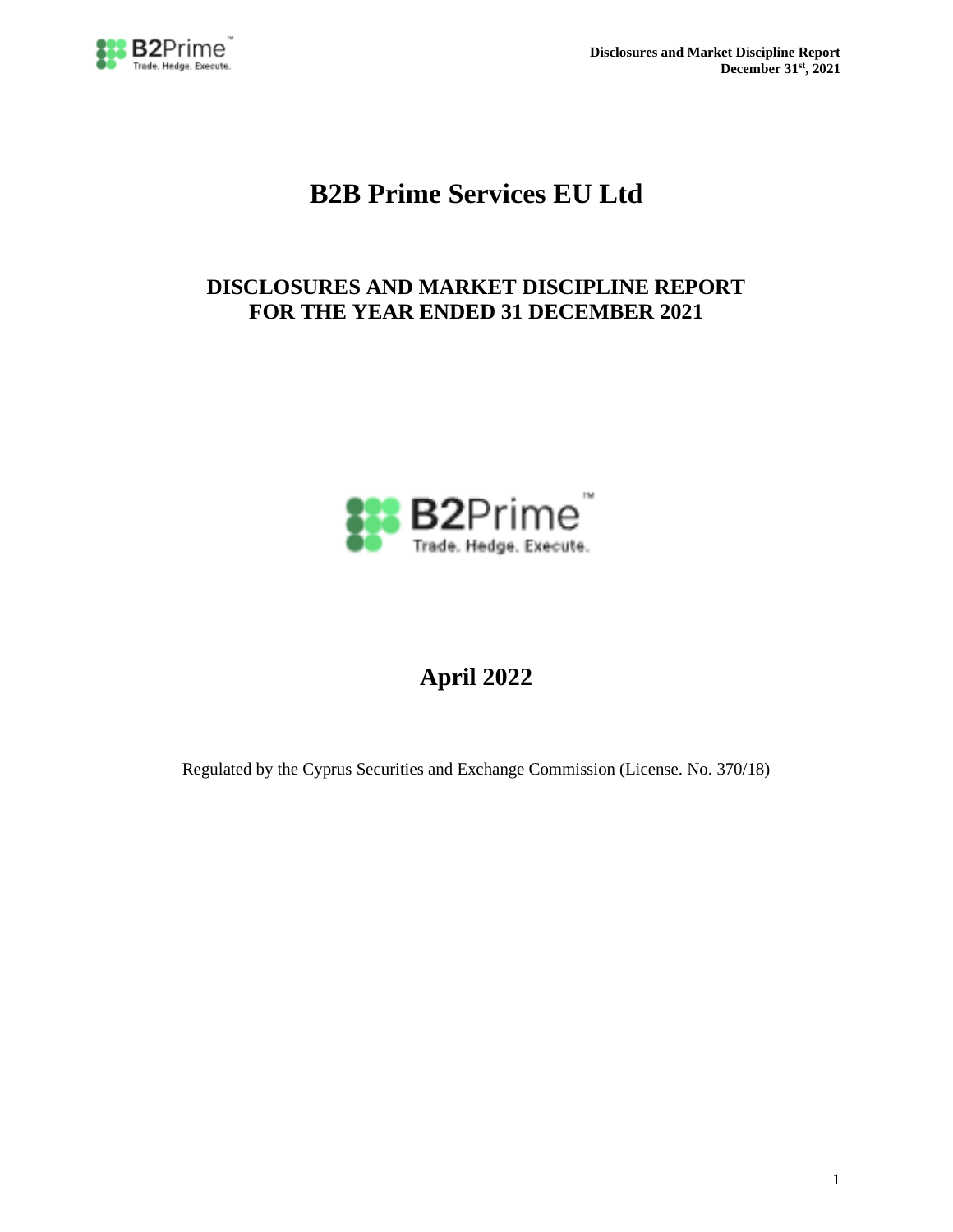

**Disclosures and Market Discipline Report December 31st, 2021**

# **B2B Prime Services EU Ltd**

# **DISCLOSURES AND MARKET DISCIPLINE REPORT FOR THE YEAR ENDED 31 DECEMBER 2021**



# **April 2022**

Regulated by the Cyprus Securities and Exchange Commission (License. No. 370/18)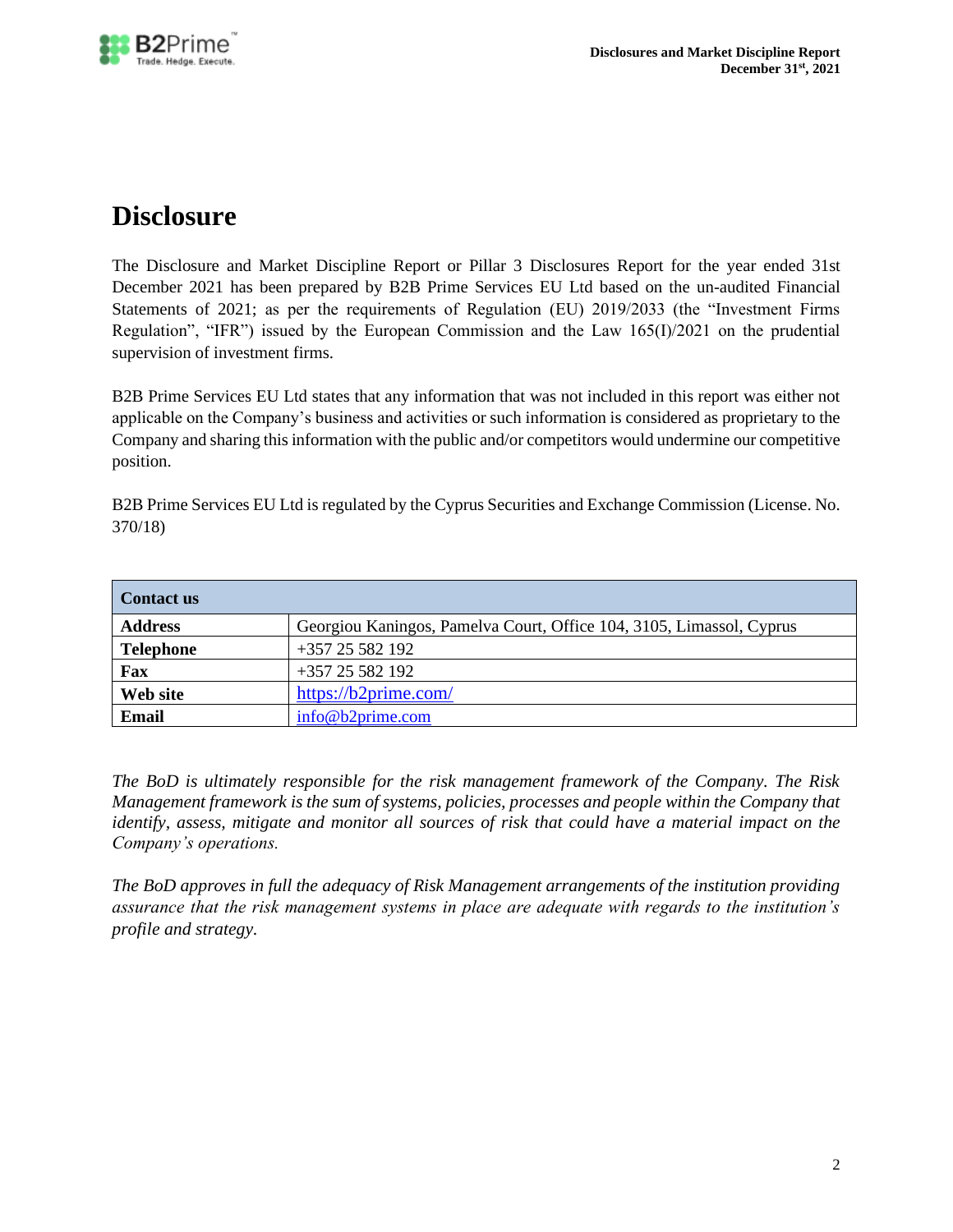

# **Disclosure**

The Disclosure and Market Discipline Report or Pillar 3 Disclosures Report for the year ended 31st December 2021 has been prepared by B2B Prime Services EU Ltd based on the un-audited Financial Statements of 2021; as per the requirements of Regulation (EU) 2019/2033 (the "Investment Firms Regulation", "IFR") issued by the European Commission and the Law 165(I)/2021 on the prudential supervision of investment firms.

B2B Prime Services EU Ltd states that any information that was not included in this report was either not applicable on the Company's business and activities or such information is considered as proprietary to the Company and sharing this information with the public and/or competitors would undermine our competitive position.

B2B Prime Services EU Ltd is regulated by the Cyprus Securities and Exchange Commission (License. No. 370/18)

| Contact us       |                                                                      |
|------------------|----------------------------------------------------------------------|
| <b>Address</b>   | Georgiou Kaningos, Pamelva Court, Office 104, 3105, Limassol, Cyprus |
| <b>Telephone</b> | $+357$ 25 582 192                                                    |
| Fax              | $+35725582192$                                                       |
| Web site         | https://b2prime.com/                                                 |
| Email            | info@b2prime.com                                                     |

*The BoD is ultimately responsible for the risk management framework of the Company. The Risk Management framework is the sum of systems, policies, processes and people within the Company that identify, assess, mitigate and monitor all sources of risk that could have a material impact on the Company's operations.* 

*The BoD approves in full the adequacy of Risk Management arrangements of the institution providing assurance that the risk management systems in place are adequate with regards to the institution's profile and strategy.*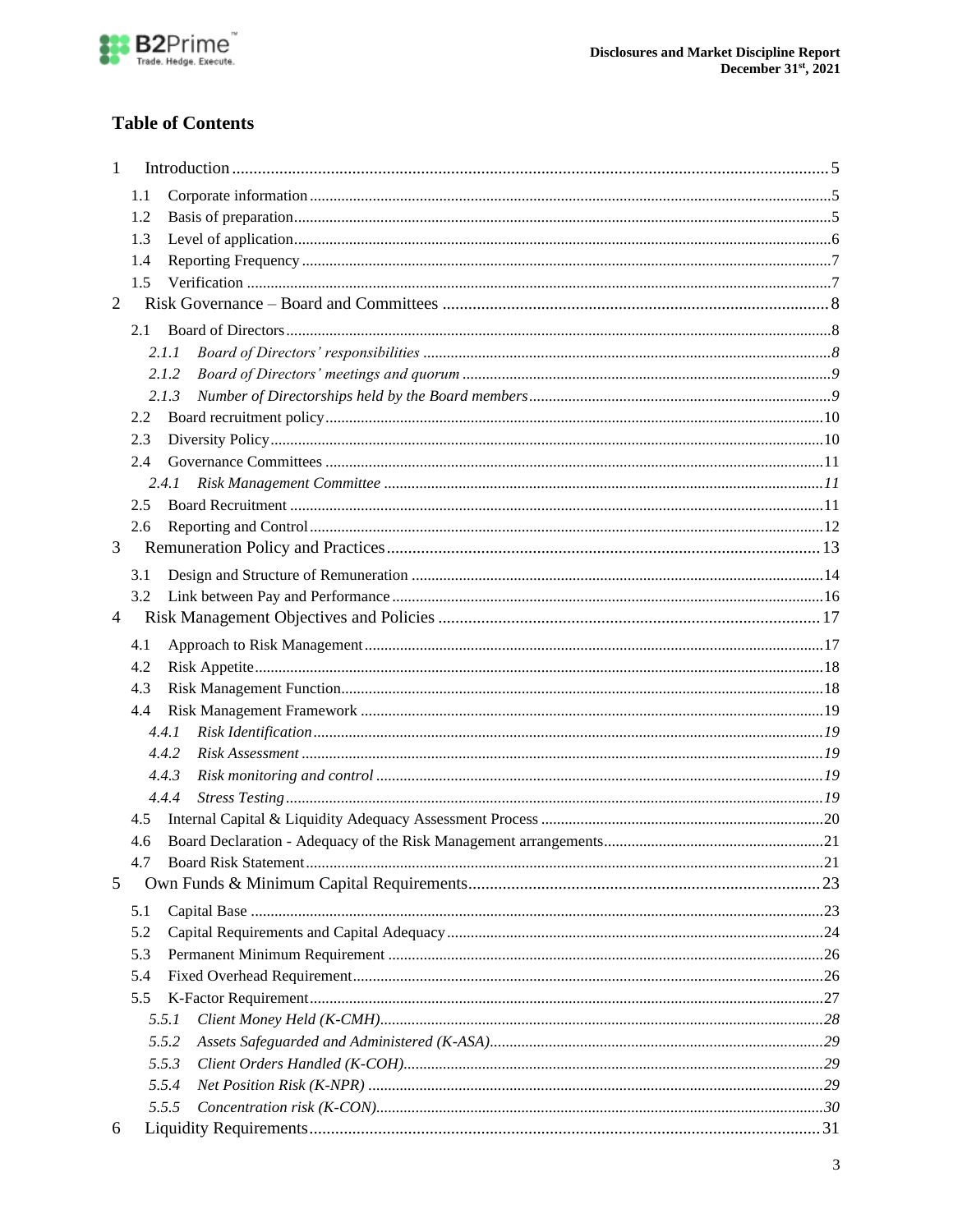

# **Table of Contents**

| 1              |     |       |  |
|----------------|-----|-------|--|
|                | 1.1 |       |  |
|                | 1.2 |       |  |
|                | 1.3 |       |  |
|                | 1.4 |       |  |
|                | 1.5 |       |  |
| $\overline{2}$ |     |       |  |
|                | 2.1 |       |  |
|                |     | 2.1.1 |  |
|                |     | 2.1.2 |  |
|                |     | 2.1.3 |  |
|                | 2.2 |       |  |
|                | 2.3 |       |  |
|                | 2.4 |       |  |
|                |     | 2.4.1 |  |
|                | 2.5 |       |  |
|                | 2.6 |       |  |
| 3              |     |       |  |
|                | 3.1 |       |  |
|                | 3.2 |       |  |
| 4              |     |       |  |
|                | 4.1 |       |  |
|                | 4.2 |       |  |
|                | 4.3 |       |  |
|                | 4.4 |       |  |
|                |     | 4.4.1 |  |
|                |     | 4.4.2 |  |
|                |     | 4.4.3 |  |
|                |     | 4.4.4 |  |
|                | 4.5 |       |  |
|                | 4.6 |       |  |
|                | 4.7 |       |  |
| 5              |     |       |  |
|                | 5.1 |       |  |
|                | 5.2 |       |  |
|                | 5.3 |       |  |
|                | 5.4 |       |  |
|                | 5.5 |       |  |
|                |     | 5.5.1 |  |
|                |     | 5.5.2 |  |
|                |     | 5.5.3 |  |
|                |     | 5.5.4 |  |
|                |     | 5.5.5 |  |
| 6              |     |       |  |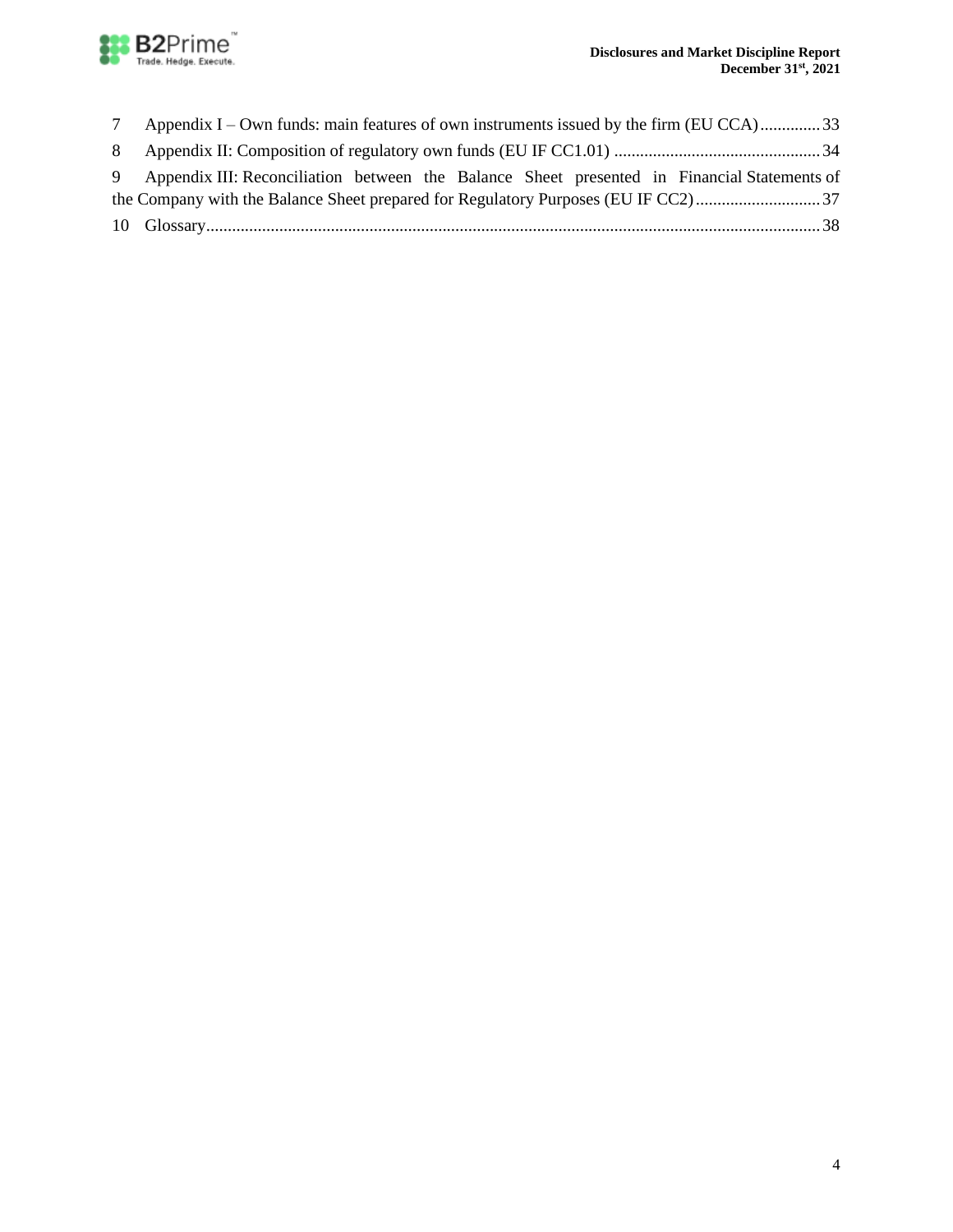

|   | Appendix I – Own funds: main features of own instruments issued by the firm (EU CCA)33        |
|---|-----------------------------------------------------------------------------------------------|
| 8 |                                                                                               |
|   | 9 Appendix III: Reconciliation between the Balance Sheet presented in Financial Statements of |
|   |                                                                                               |
|   |                                                                                               |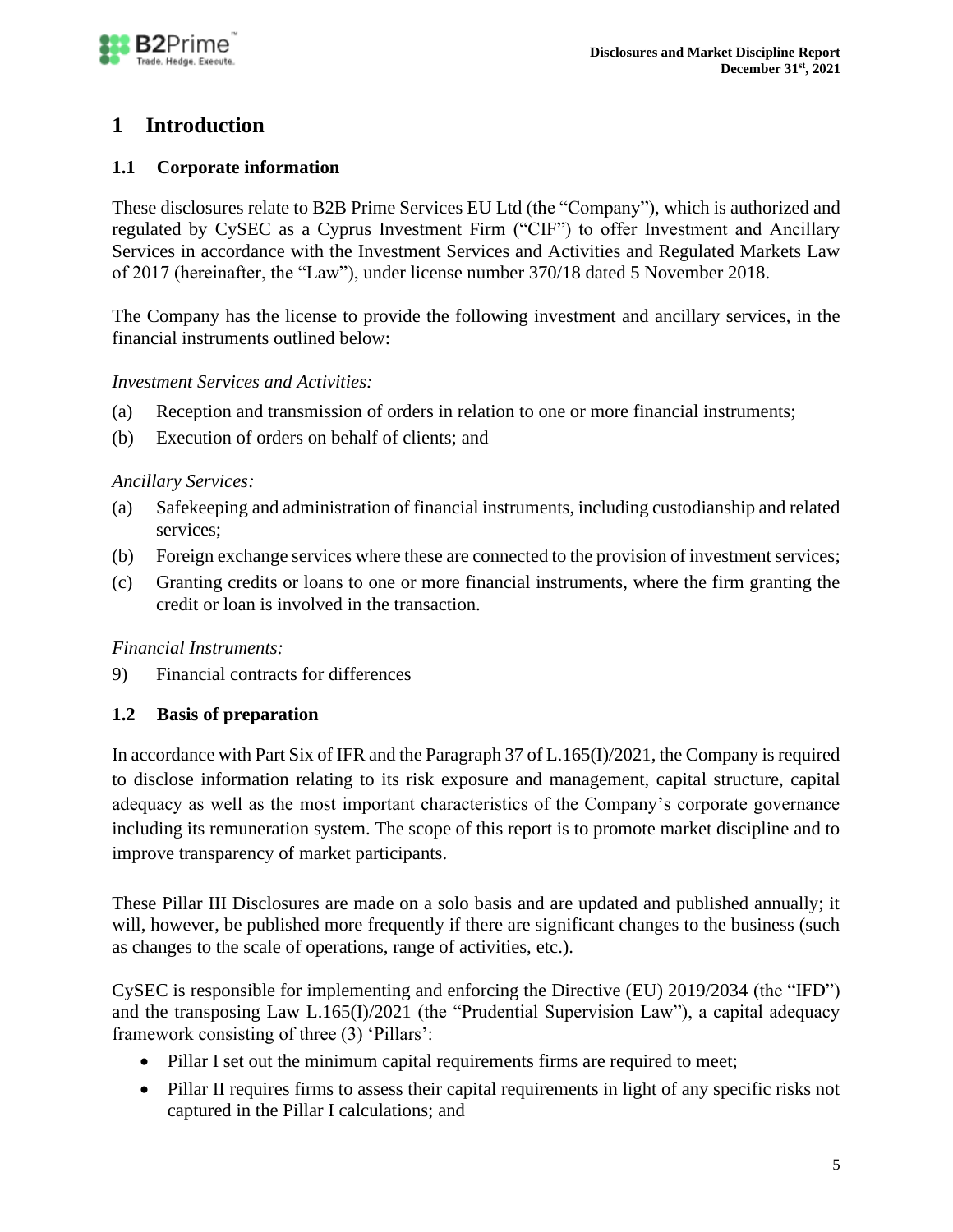

# <span id="page-4-0"></span>**1 Introduction**

# <span id="page-4-1"></span>**1.1 Corporate information**

These disclosures relate to B2B Prime Services EU Ltd (the "Company"), which is authorized and regulated by CySEC as a Cyprus Investment Firm ("CIF") to offer Investment and Ancillary Services in accordance with the Investment Services and Activities and Regulated Markets Law of 2017 (hereinafter, the "Law"), under license number 370/18 dated 5 November 2018.

The Company has the license to provide the following investment and ancillary services, in the financial instruments outlined below:

### *Investment Services and Activities:*

- (a) Reception and transmission of orders in relation to one or more financial instruments;
- (b) Execution of orders on behalf of clients; and

### *Ancillary Services:*

- (a) Safekeeping and administration of financial instruments, including custodianship and related services;
- (b) Foreign exchange services where these are connected to the provision of investment services;
- (c) Granting credits or loans to one or more financial instruments, where the firm granting the credit or loan is involved in the transaction.

### *Financial Instruments:*

<span id="page-4-2"></span>9) Financial contracts for differences

# **1.2 Basis of preparation**

In accordance with Part Six of IFR and the Paragraph 37 of L.165(I)/2021, the Company is required to disclose information relating to its risk exposure and management, capital structure, capital adequacy as well as the most important characteristics of the Company's corporate governance including its remuneration system. The scope of this report is to promote market discipline and to improve transparency of market participants.

These Pillar III Disclosures are made on a solo basis and are updated and published annually; it will, however, be published more frequently if there are significant changes to the business (such as changes to the scale of operations, range of activities, etc.).

CySEC is responsible for implementing and enforcing the Directive (EU) 2019/2034 (the "IFD") and the transposing Law L.165(I)/2021 (the "Prudential Supervision Law"), a capital adequacy framework consisting of three (3) 'Pillars':

- Pillar I set out the minimum capital requirements firms are required to meet;
- Pillar II requires firms to assess their capital requirements in light of any specific risks not captured in the Pillar I calculations; and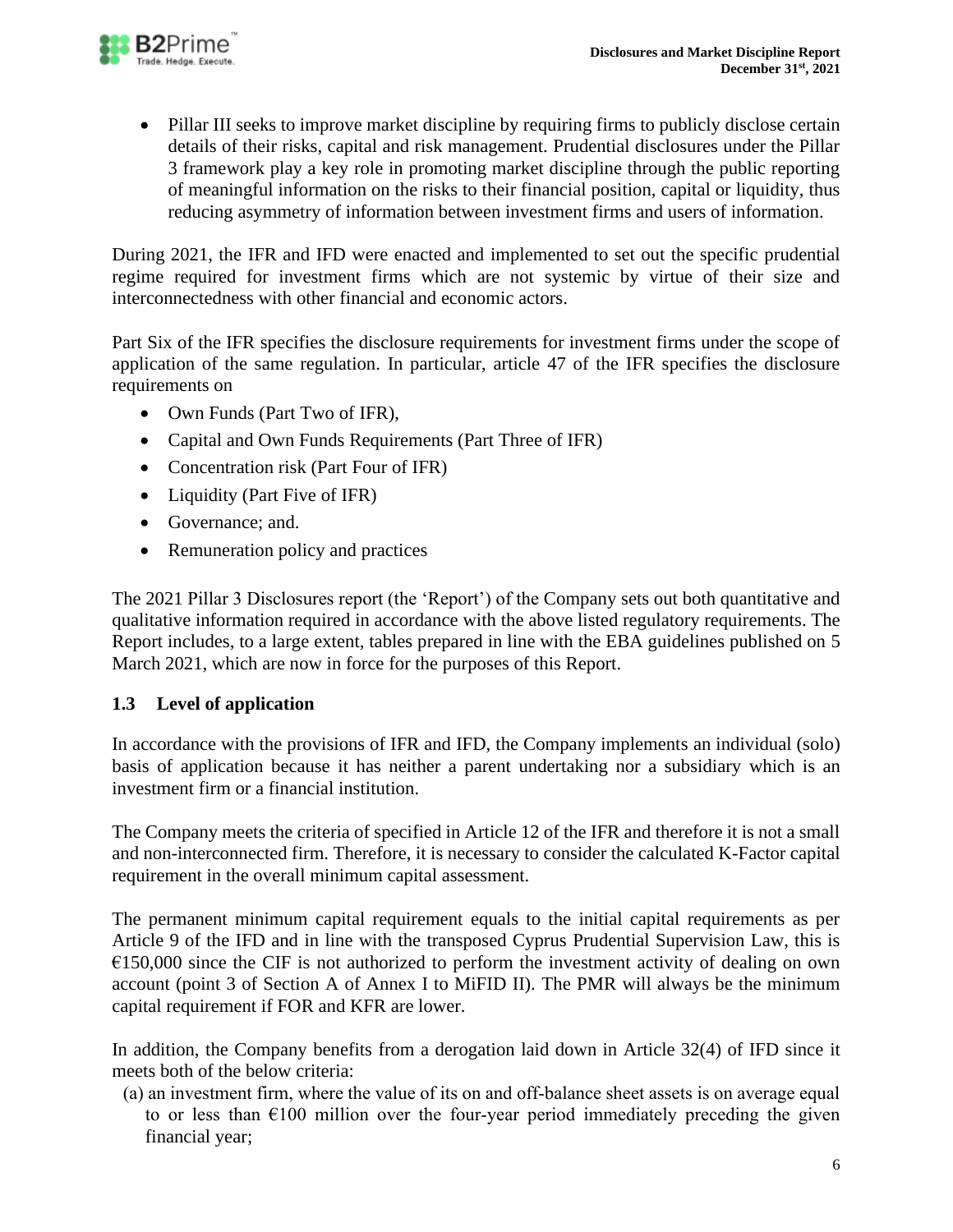

• Pillar III seeks to improve market discipline by requiring firms to publicly disclose certain details of their risks, capital and risk management. Prudential disclosures under the Pillar 3 framework play a key role in promoting market discipline through the public reporting of meaningful information on the risks to their financial position, capital or liquidity, thus reducing asymmetry of information between investment firms and users of information.

During 2021, the IFR and IFD were enacted and implemented to set out the specific prudential regime required for investment firms which are not systemic by virtue of their size and interconnectedness with other financial and economic actors.

Part Six of the IFR specifies the disclosure requirements for investment firms under the scope of application of the same regulation. In particular, article 47 of the IFR specifies the disclosure requirements on

- Own Funds (Part Two of IFR),
- Capital and Own Funds Requirements (Part Three of IFR)
- Concentration risk (Part Four of IFR)
- Liquidity (Part Five of IFR)
- Governance: and.
- Remuneration policy and practices

The 2021 Pillar 3 Disclosures report (the 'Report') of the Company sets out both quantitative and qualitative information required in accordance with the above listed regulatory requirements. The Report includes, to a large extent, tables prepared in line with the EBA guidelines published on 5 March 2021, which are now in force for the purposes of this Report.

# <span id="page-5-0"></span>**1.3 Level of application**

In accordance with the provisions of IFR and IFD, the Company implements an individual (solo) basis of application because it has neither a parent undertaking nor a subsidiary which is an investment firm or a financial institution.

The Company meets the criteria of specified in Article 12 of the IFR and therefore it is not a small and non-interconnected firm. Therefore, it is necessary to consider the calculated K-Factor capital requirement in the overall minimum capital assessment.

The permanent minimum capital requirement equals to the initial capital requirements as per Article 9 of the IFD and in line with the transposed Cyprus Prudential Supervision Law, this is  $E150,000$  since the CIF is not authorized to perform the investment activity of dealing on own account (point 3 of Section A of Annex I to MiFID II). The PMR will always be the minimum capital requirement if FOR and KFR are lower.

In addition, the Company benefits from a derogation laid down in Article 32(4) of IFD since it meets both of the below criteria:

(a) an investment firm, where the value of its on and off‐balance sheet assets is on average equal to or less than  $\epsilon$ 100 million over the four-year period immediately preceding the given financial year;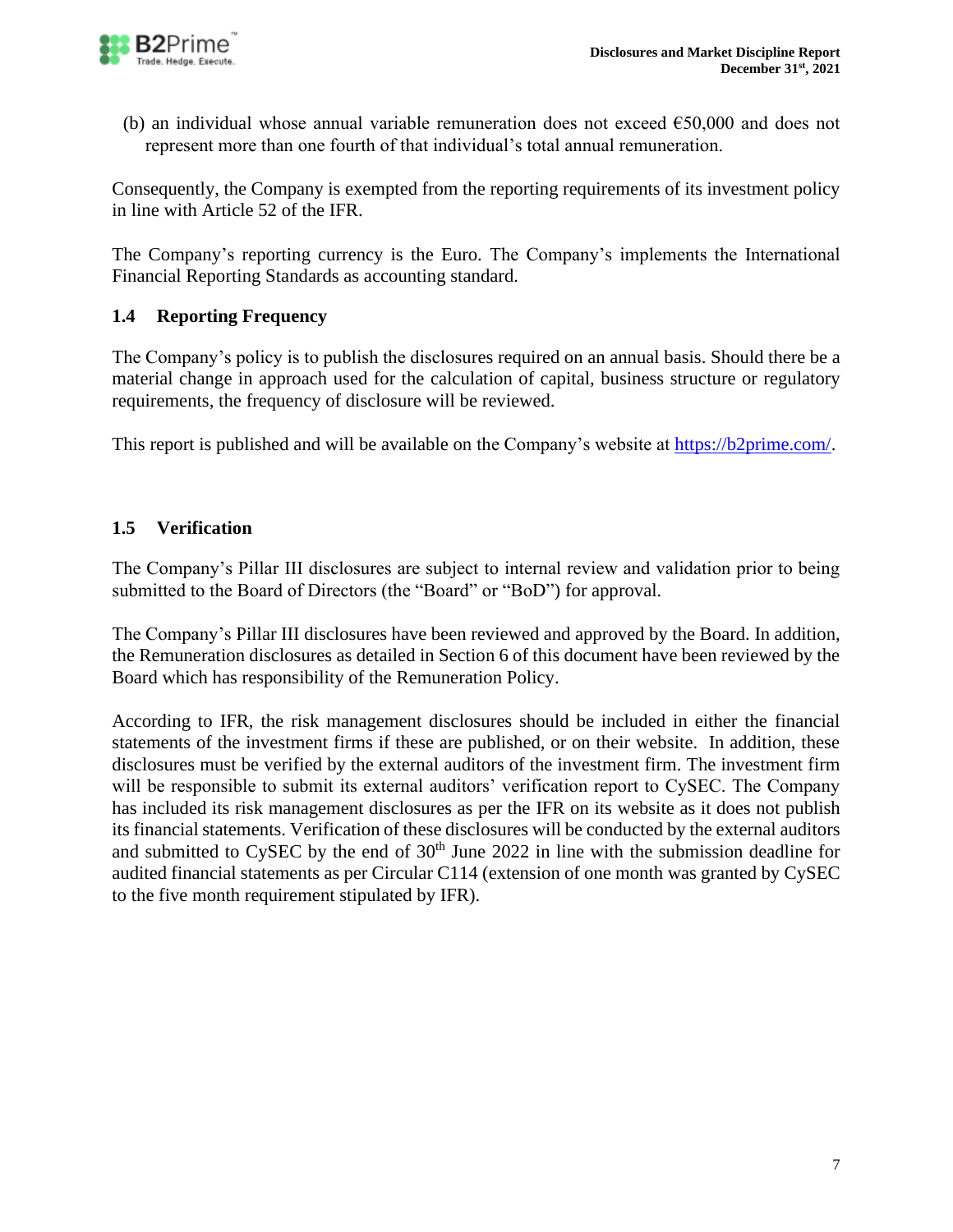

(b) an individual whose annual variable remuneration does not exceed  $\epsilon$ 50,000 and does not represent more than one fourth of that individual's total annual remuneration.

Consequently, the Company is exempted from the reporting requirements of its investment policy in line with Article 52 of the IFR.

The Company's reporting currency is the Euro. The Company's implements the International Financial Reporting Standards as accounting standard.

# <span id="page-6-0"></span>**1.4 Reporting Frequency**

The Company's policy is to publish the disclosures required on an annual basis. Should there be a material change in approach used for the calculation of capital, business structure or regulatory requirements, the frequency of disclosure will be reviewed.

This report is published and will be available on the Company's website at [https://b2prime.com/.](https://b2prime.com/)

# <span id="page-6-1"></span>**1.5 Verification**

The Company's Pillar III disclosures are subject to internal review and validation prior to being submitted to the Board of Directors (the "Board" or "BoD") for approval.

The Company's Pillar III disclosures have been reviewed and approved by the Board. In addition, the Remuneration disclosures as detailed in Section 6 of this document have been reviewed by the Board which has responsibility of the Remuneration Policy.

According to IFR, the risk management disclosures should be included in either the financial statements of the investment firms if these are published, or on their website. In addition, these disclosures must be verified by the external auditors of the investment firm. The investment firm will be responsible to submit its external auditors' verification report to CySEC. The Company has included its risk management disclosures as per the IFR on its website as it does not publish its financial statements. Verification of these disclosures will be conducted by the external auditors and submitted to CySEC by the end of  $30<sup>th</sup>$  June 2022 in line with the submission deadline for audited financial statements as per Circular C114 (extension of one month was granted by CySEC to the five month requirement stipulated by IFR).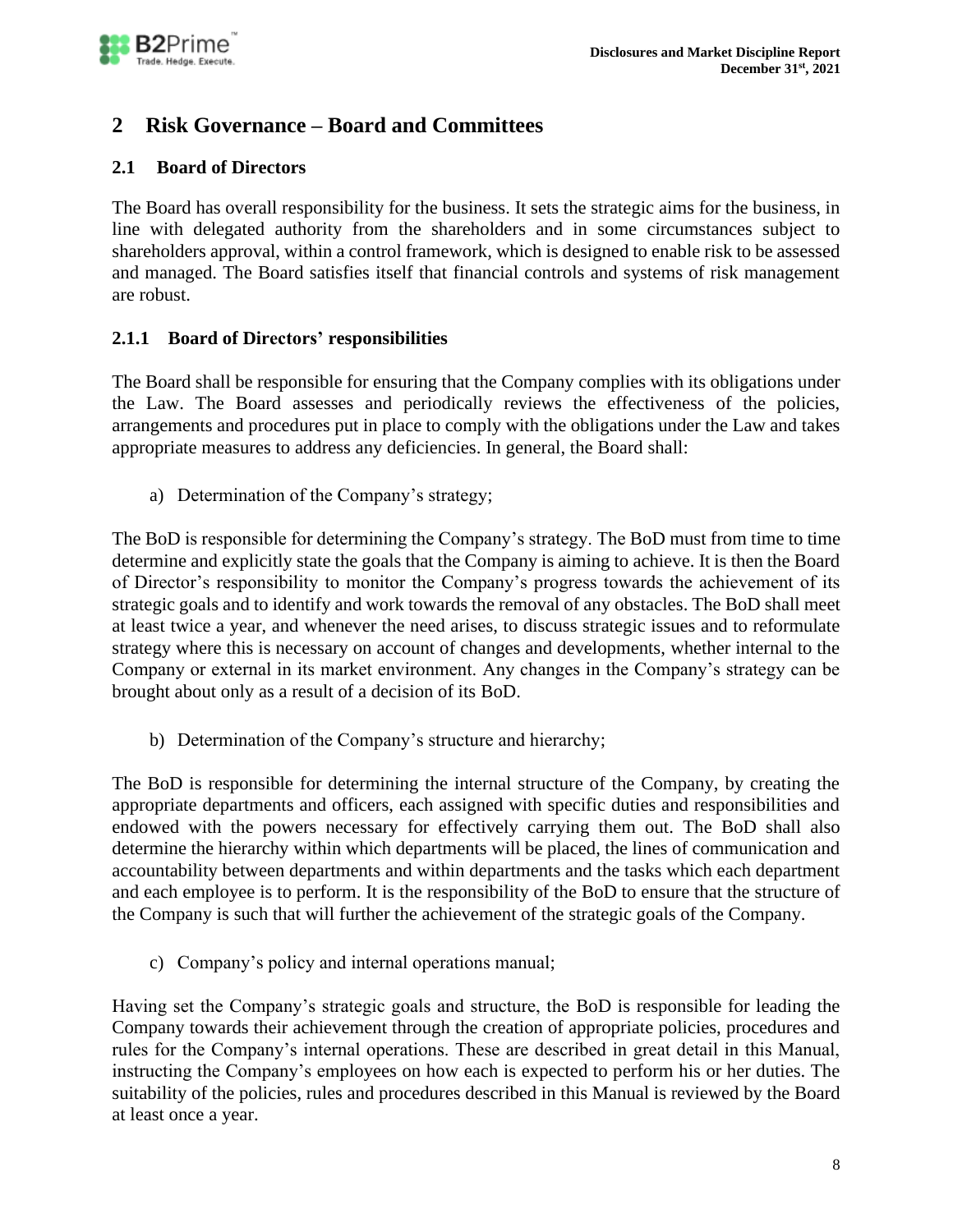# <span id="page-7-0"></span>**2 Risk Governance – Board and Committees**

# <span id="page-7-1"></span>**2.1 Board of Directors**

The Board has overall responsibility for the business. It sets the strategic aims for the business, in line with delegated authority from the shareholders and in some circumstances subject to shareholders approval, within a control framework, which is designed to enable risk to be assessed and managed. The Board satisfies itself that financial controls and systems of risk management are robust.

# <span id="page-7-2"></span>**2.1.1 Board of Directors' responsibilities**

The Board shall be responsible for ensuring that the Company complies with its obligations under the Law. The Board assesses and periodically reviews the effectiveness of the policies, arrangements and procedures put in place to comply with the obligations under the Law and takes appropriate measures to address any deficiencies. In general, the Board shall:

a) Determination of the Company's strategy;

The BoD is responsible for determining the Company's strategy. The BoD must from time to time determine and explicitly state the goals that the Company is aiming to achieve. It is then the Board of Director's responsibility to monitor the Company's progress towards the achievement of its strategic goals and to identify and work towards the removal of any obstacles. The BoD shall meet at least twice a year, and whenever the need arises, to discuss strategic issues and to reformulate strategy where this is necessary on account of changes and developments, whether internal to the Company or external in its market environment. Any changes in the Company's strategy can be brought about only as a result of a decision of its BoD.

b) Determination of the Company's structure and hierarchy;

The BoD is responsible for determining the internal structure of the Company, by creating the appropriate departments and officers, each assigned with specific duties and responsibilities and endowed with the powers necessary for effectively carrying them out. The BoD shall also determine the hierarchy within which departments will be placed, the lines of communication and accountability between departments and within departments and the tasks which each department and each employee is to perform. It is the responsibility of the BoD to ensure that the structure of the Company is such that will further the achievement of the strategic goals of the Company.

c) Company's policy and internal operations manual;

Having set the Company's strategic goals and structure, the BoD is responsible for leading the Company towards their achievement through the creation of appropriate policies, procedures and rules for the Company's internal operations. These are described in great detail in this Manual, instructing the Company's employees on how each is expected to perform his or her duties. The suitability of the policies, rules and procedures described in this Manual is reviewed by the Board at least once a year.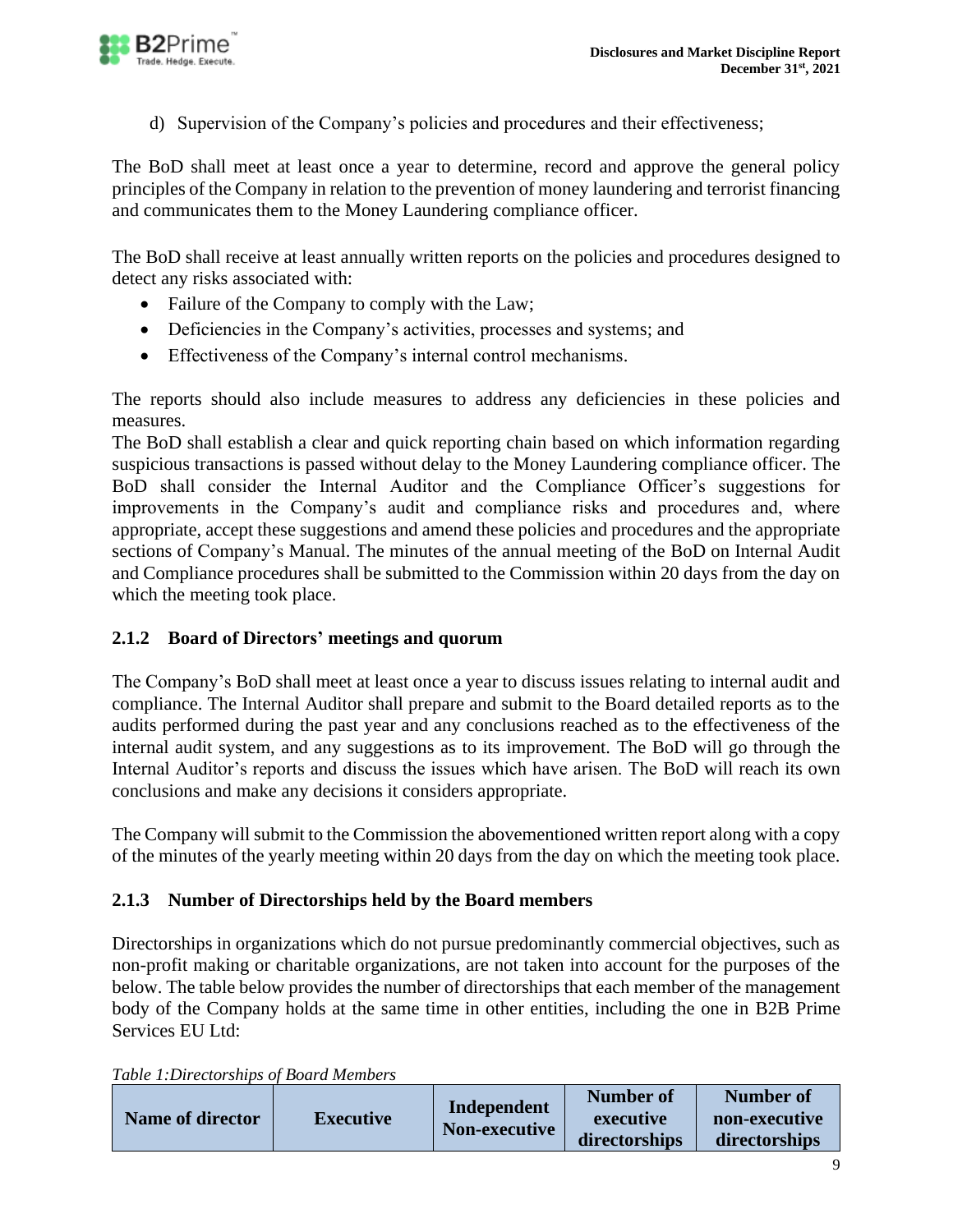

d) Supervision of the Company's policies and procedures and their effectiveness;

The BoD shall meet at least once a year to determine, record and approve the general policy principles of the Company in relation to the prevention of money laundering and terrorist financing and communicates them to the Money Laundering compliance officer.

The BoD shall receive at least annually written reports on the policies and procedures designed to detect any risks associated with:

- Failure of the Company to comply with the Law;
- Deficiencies in the Company's activities, processes and systems; and
- Effectiveness of the Company's internal control mechanisms.

The reports should also include measures to address any deficiencies in these policies and measures.

The BoD shall establish a clear and quick reporting chain based on which information regarding suspicious transactions is passed without delay to the Money Laundering compliance officer. The BoD shall consider the Internal Auditor and the Compliance Officer's suggestions for improvements in the Company's audit and compliance risks and procedures and, where appropriate, accept these suggestions and amend these policies and procedures and the appropriate sections of Company's Manual. The minutes of the annual meeting of the BoD on Internal Audit and Compliance procedures shall be submitted to the Commission within 20 days from the day on which the meeting took place.

# <span id="page-8-0"></span>**2.1.2 Board of Directors' meetings and quorum**

The Company's BoD shall meet at least once a year to discuss issues relating to internal audit and compliance. The Internal Auditor shall prepare and submit to the Board detailed reports as to the audits performed during the past year and any conclusions reached as to the effectiveness of the internal audit system, and any suggestions as to its improvement. The BoD will go through the Internal Auditor's reports and discuss the issues which have arisen. The BoD will reach its own conclusions and make any decisions it considers appropriate.

The Company will submit to the Commission the abovementioned written report along with a copy of the minutes of the yearly meeting within 20 days from the day on which the meeting took place.

# <span id="page-8-1"></span>**2.1.3 Number of Directorships held by the Board members**

Directorships in organizations which do not pursue predominantly commercial objectives, such as non-profit making or charitable organizations, are not taken into account for the purposes of the below. The table below provides the number of directorships that each member of the management body of the Company holds at the same time in other entities, including the one in B2B Prime Services EU Ltd:

| <b>Name of director</b> | <b>Executive</b> | Independent<br><b>Non-executive</b> | <b>Number of</b><br>executive<br>directorships | Number of<br>non-executive<br>directorships |
|-------------------------|------------------|-------------------------------------|------------------------------------------------|---------------------------------------------|
|-------------------------|------------------|-------------------------------------|------------------------------------------------|---------------------------------------------|

*Table 1:Directorships of Board Members*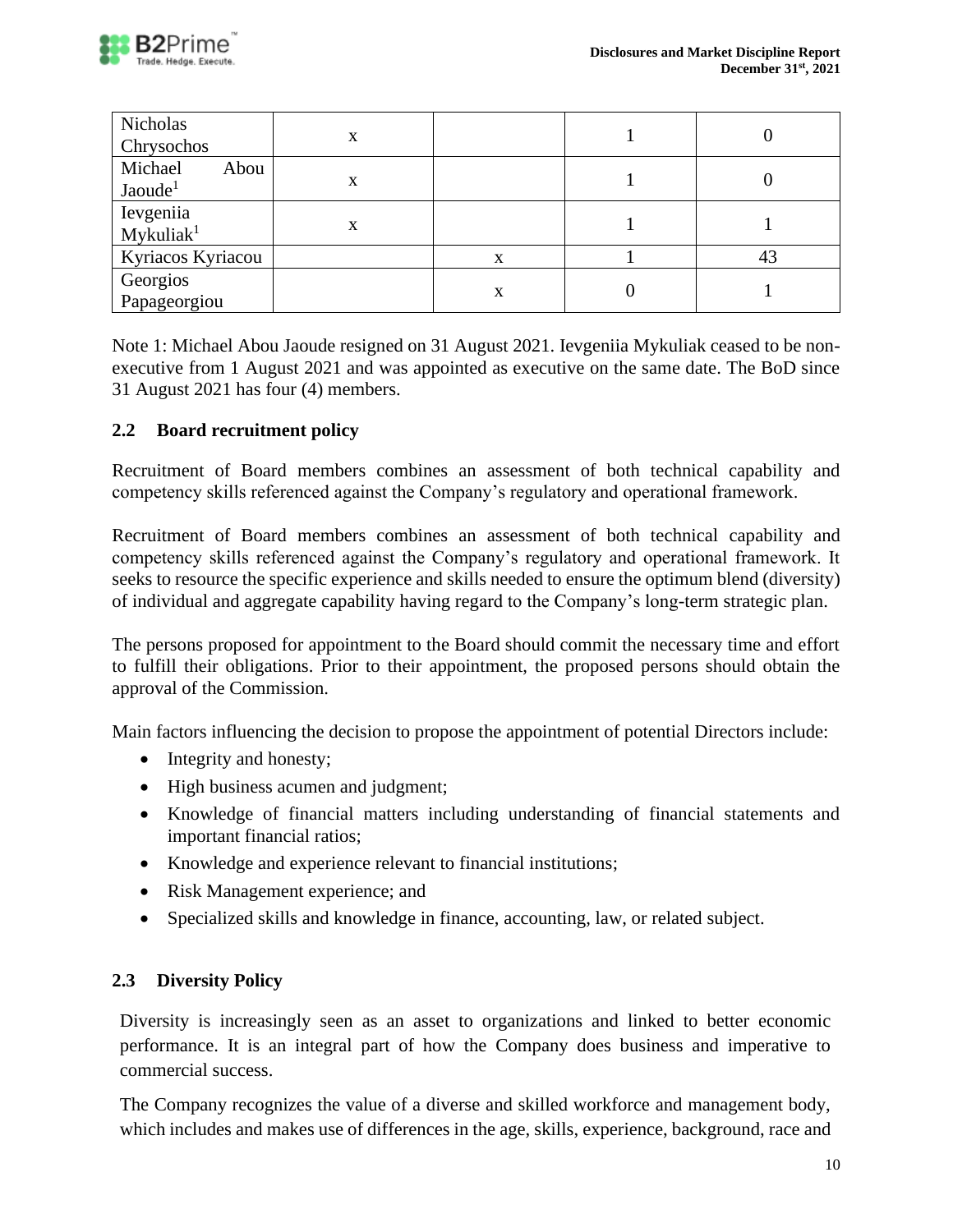

| Nicholas<br>Chrysochos                 | X |   |    |
|----------------------------------------|---|---|----|
| Michael<br>Abou<br>Jaoude <sup>1</sup> | X |   |    |
| Ievgeniia<br>Mykuliak <sup>1</sup>     | x |   |    |
| Kyriacos Kyriacou                      |   | X | 43 |
| Georgios<br>Papageorgiou               |   | X |    |

Note 1: Michael Abou Jaoude resigned on 31 August 2021. Ievgeniia Mykuliak ceased to be nonexecutive from 1 August 2021 and was appointed as executive on the same date. The BoD since 31 August 2021 has four (4) members.

### <span id="page-9-0"></span>**2.2 Board recruitment policy**

Recruitment of Board members combines an assessment of both technical capability and competency skills referenced against the Company's regulatory and operational framework.

Recruitment of Board members combines an assessment of both technical capability and competency skills referenced against the Company's regulatory and operational framework. It seeks to resource the specific experience and skills needed to ensure the optimum blend (diversity) of individual and aggregate capability having regard to the Company's long-term strategic plan.

The persons proposed for appointment to the Board should commit the necessary time and effort to fulfill their obligations. Prior to their appointment, the proposed persons should obtain the approval of the Commission.

Main factors influencing the decision to propose the appointment of potential Directors include:

- Integrity and honesty;
- High business acumen and judgment;
- Knowledge of financial matters including understanding of financial statements and important financial ratios;
- Knowledge and experience relevant to financial institutions;
- Risk Management experience; and
- Specialized skills and knowledge in finance, accounting, law, or related subject.

# <span id="page-9-1"></span>**2.3 Diversity Policy**

Diversity is increasingly seen as an asset to organizations and linked to better economic performance. It is an integral part of how the Company does business and imperative to commercial success.

The Company recognizes the value of a diverse and skilled workforce and management body, which includes and makes use of differences in the age, skills, experience, background, race and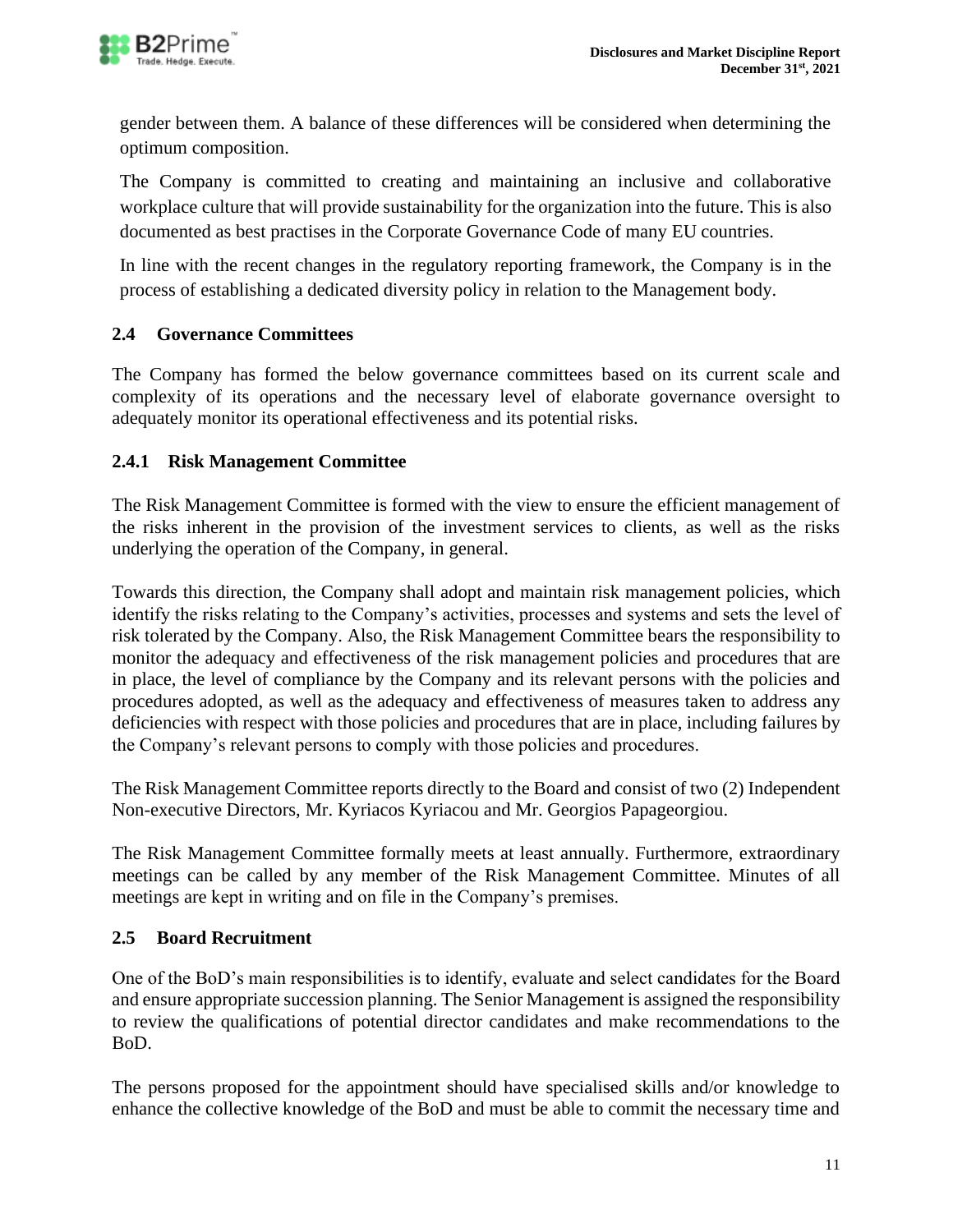

gender between them. A balance of these differences will be considered when determining the optimum composition.

The Company is committed to creating and maintaining an inclusive and collaborative workplace culture that will provide sustainability for the organization into the future. This is also documented as best practises in the Corporate Governance Code of many EU countries.

In line with the recent changes in the regulatory reporting framework, the Company is in the process of establishing a dedicated diversity policy in relation to the Management body.

# <span id="page-10-0"></span>**2.4 Governance Committees**

The Company has formed the below governance committees based on its current scale and complexity of its operations and the necessary level of elaborate governance oversight to adequately monitor its operational effectiveness and its potential risks.

# <span id="page-10-1"></span>**2.4.1 Risk Management Committee**

The Risk Management Committee is formed with the view to ensure the efficient management of the risks inherent in the provision of the investment services to clients, as well as the risks underlying the operation of the Company, in general.

Towards this direction, the Company shall adopt and maintain risk management policies, which identify the risks relating to the Company's activities, processes and systems and sets the level of risk tolerated by the Company. Also, the Risk Management Committee bears the responsibility to monitor the adequacy and effectiveness of the risk management policies and procedures that are in place, the level of compliance by the Company and its relevant persons with the policies and procedures adopted, as well as the adequacy and effectiveness of measures taken to address any deficiencies with respect with those policies and procedures that are in place, including failures by the Company's relevant persons to comply with those policies and procedures.

The Risk Management Committee reports directly to the Board and consist of two (2) Independent Non-executive Directors, Mr. Kyriacos Kyriacou and Mr. Georgios Papageorgiou.

The Risk Management Committee formally meets at least annually. Furthermore, extraordinary meetings can be called by any member of the Risk Management Committee. Minutes of all meetings are kept in writing and on file in the Company's premises.

# <span id="page-10-2"></span>**2.5 Board Recruitment**

One of the BoD's main responsibilities is to identify, evaluate and select candidates for the Board and ensure appropriate succession planning. The Senior Management is assigned the responsibility to review the qualifications of potential director candidates and make recommendations to the BoD.

The persons proposed for the appointment should have specialised skills and/or knowledge to enhance the collective knowledge of the BoD and must be able to commit the necessary time and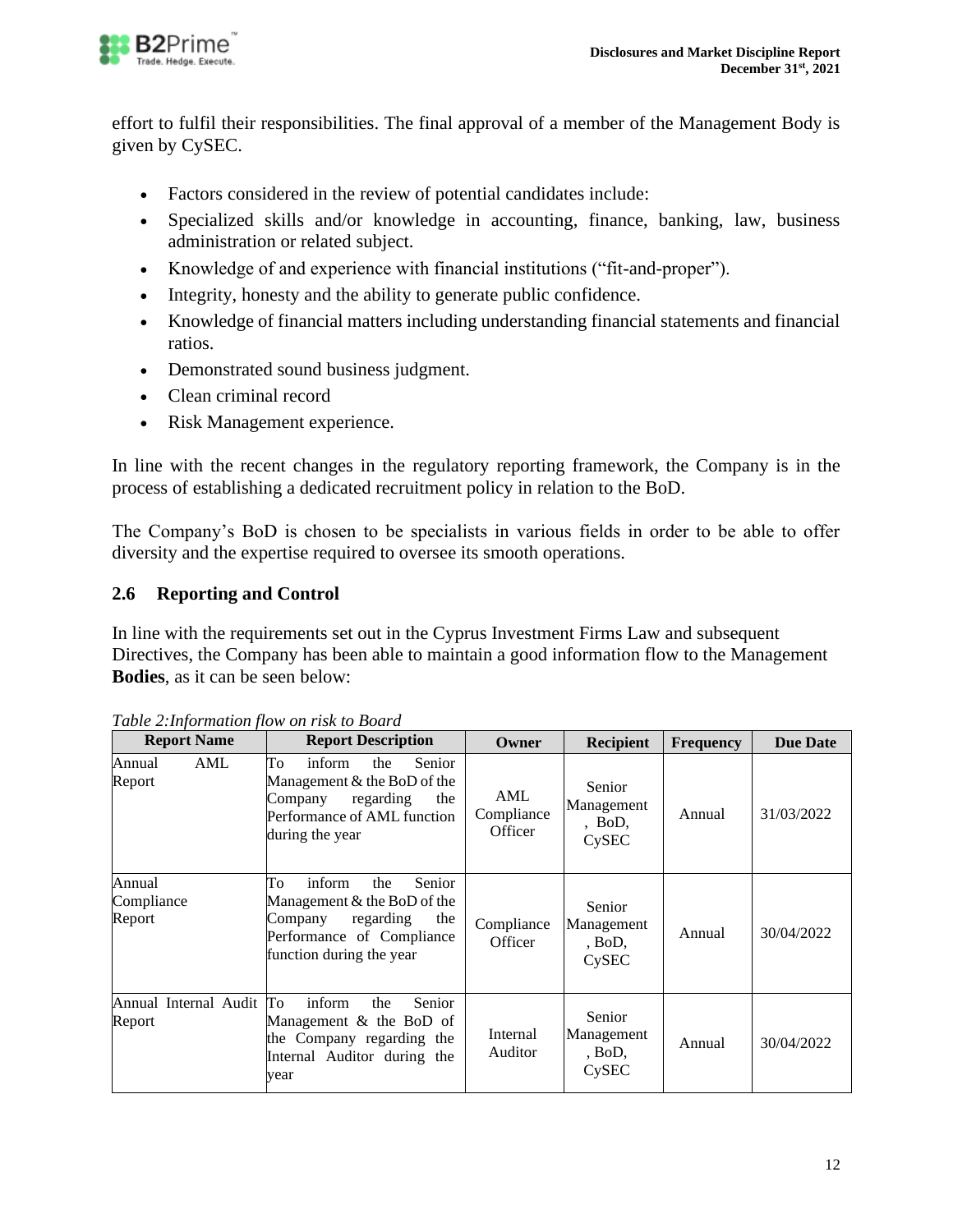

effort to fulfil their responsibilities. The final approval of a member of the Management Body is given by CySEC.

- Factors considered in the review of potential candidates include:
- Specialized skills and/or knowledge in accounting, finance, banking, law, business administration or related subject.
- Knowledge of and experience with financial institutions ("fit-and-proper").
- Integrity, honesty and the ability to generate public confidence.
- Knowledge of financial matters including understanding financial statements and financial ratios.
- Demonstrated sound business judgment.
- Clean criminal record
- Risk Management experience.

In line with the recent changes in the regulatory reporting framework, the Company is in the process of establishing a dedicated recruitment policy in relation to the BoD.

The Company's BoD is chosen to be specialists in various fields in order to be able to offer diversity and the expertise required to oversee its smooth operations.

# <span id="page-11-0"></span>**2.6 Reporting and Control**

In line with the requirements set out in the Cyprus Investment Firms Law and subsequent Directives, the Company has been able to maintain a good information flow to the Management **Bodies**, as it can be seen below:

| <b>Report Name</b>                 | <b>Report Description</b>                                                                                                                            | Owner                        | <b>Recipient</b>                          | <b>Frequency</b> | <b>Due Date</b> |
|------------------------------------|------------------------------------------------------------------------------------------------------------------------------------------------------|------------------------------|-------------------------------------------|------------------|-----------------|
| AML<br>Annual<br>Report            | To<br>inform<br>Senior<br>the<br>Management & the BoD of the<br>regarding<br>the<br>Company<br>Performance of AML function<br>during the year        | AML<br>Compliance<br>Officer | Senior<br>Management<br>$,$ BoD,<br>CySEC | Annual           | 31/03/2022      |
| Annual<br>Compliance<br>Report     | To<br>inform<br>Senior<br>the<br>Management & the BoD of the<br>regarding<br>the<br>Company<br>Performance of Compliance<br>function during the year | Compliance<br>Officer        | Senior<br>Management<br>, Bob,<br>CySEC   | Annual           | 30/04/2022      |
| Annual Internal Audit To<br>Report | inform<br>Senior<br>the<br>Management & the BoD of<br>the Company regarding the<br>Internal Auditor during the<br>vear                               |                              | Senior<br>Management<br>, Bob,<br>CySEC   | Annual           | 30/04/2022      |

*Table 2:Information flow on risk to Board*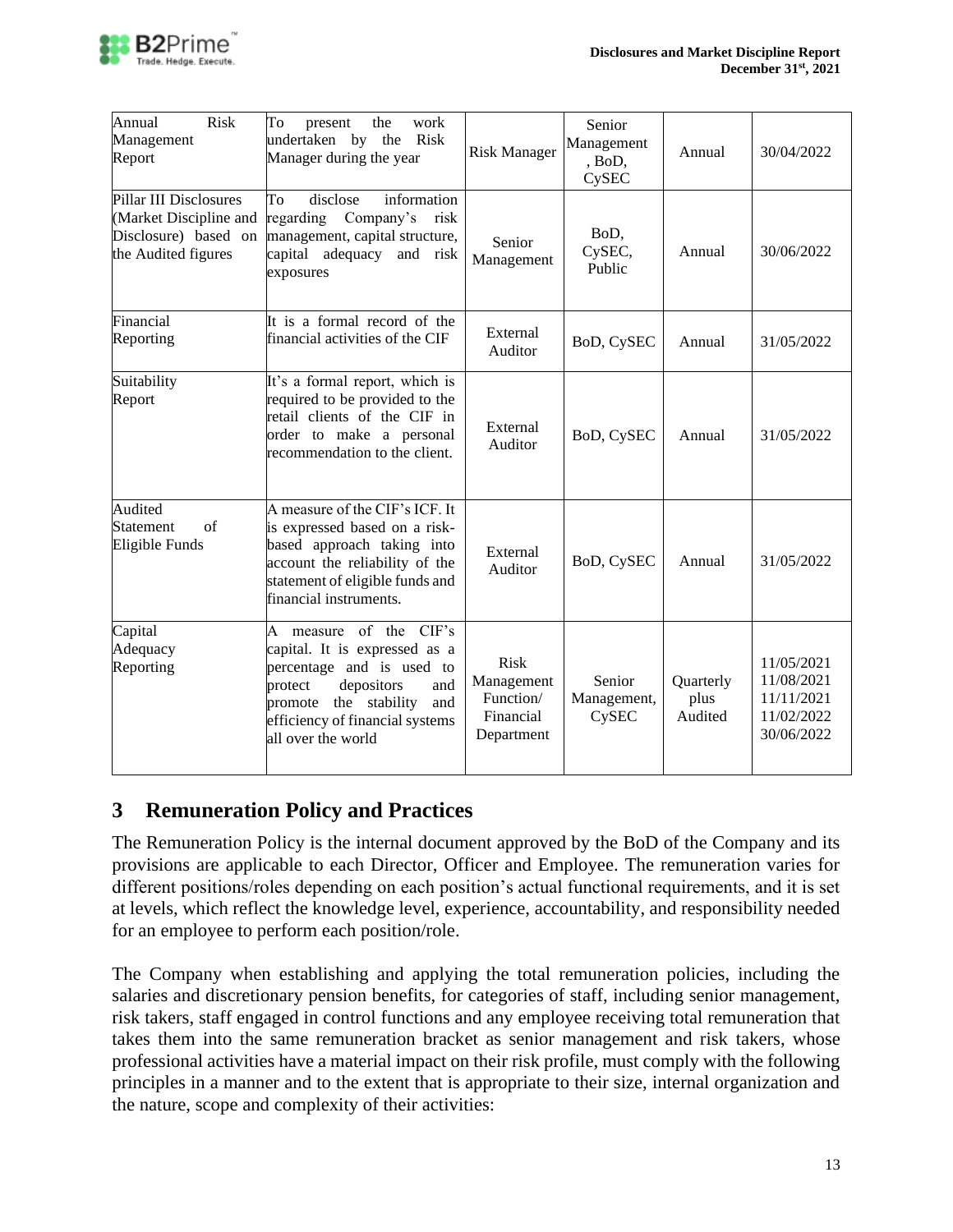

| Annual<br><b>Risk</b><br>Management<br>Report                                                   | To<br>work<br>the<br>present<br>Risk<br>undertaken by the<br>Manager during the year                                                                                                                          | <b>Risk Manager</b>                                               | Senior<br>Management<br>, BoD,<br>CySEC | Annual                       | 30/04/2022                                                         |
|-------------------------------------------------------------------------------------------------|---------------------------------------------------------------------------------------------------------------------------------------------------------------------------------------------------------------|-------------------------------------------------------------------|-----------------------------------------|------------------------------|--------------------------------------------------------------------|
| Pillar III Disclosures<br>(Market Discipline and<br>Disclosure) based on<br>the Audited figures | disclose<br>information<br>To<br>regarding Company's<br>risk<br>management, capital structure,<br>capital adequacy<br>risk<br>and<br>exposures                                                                | Senior<br>Management                                              | BoD,<br>CySEC,<br>Public                | Annual                       | 30/06/2022                                                         |
| Financial<br>Reporting                                                                          | It is a formal record of the<br>financial activities of the CIF                                                                                                                                               | External<br>Auditor                                               | BoD, CySEC                              | Annual                       | 31/05/2022                                                         |
| Suitability<br>Report                                                                           | It's a formal report, which is<br>required to be provided to the<br>retail clients of the CIF in<br>order to make a personal<br>recommendation to the client.                                                 | External<br>Auditor                                               | BoD, CySEC                              | Annual                       | 31/05/2022                                                         |
| Audited<br>of<br>Statement<br>Eligible Funds                                                    | A measure of the CIF's ICF. It<br>is expressed based on a risk-<br>based approach taking into<br>account the reliability of the<br>statement of eligible funds and<br>financial instruments.                  | External<br>Auditor                                               | BoD, CySEC                              | Annual                       | 31/05/2022                                                         |
| Capital<br>Adequacy<br>Reporting                                                                | A measure of the CIF's<br>capital. It is expressed as a<br>percentage and is used to<br>depositors<br>protect<br>and<br>promote the stability<br>and<br>efficiency of financial systems<br>all over the world | <b>Risk</b><br>Management<br>Function/<br>Financial<br>Department | Senior<br>Management,<br>CySEC          | Quarterly<br>plus<br>Audited | 11/05/2021<br>11/08/2021<br>11/11/2021<br>11/02/2022<br>30/06/2022 |

# <span id="page-12-0"></span>**3 Remuneration Policy and Practices**

The Remuneration Policy is the internal document approved by the BoD of the Company and its provisions are applicable to each Director, Officer and Employee. The remuneration varies for different positions/roles depending on each position's actual functional requirements, and it is set at levels, which reflect the knowledge level, experience, accountability, and responsibility needed for an employee to perform each position/role.

The Company when establishing and applying the total remuneration policies, including the salaries and discretionary pension benefits, for categories of staff, including senior management, risk takers, staff engaged in control functions and any employee receiving total remuneration that takes them into the same remuneration bracket as senior management and risk takers, whose professional activities have a material impact on their risk profile, must comply with the following principles in a manner and to the extent that is appropriate to their size, internal organization and the nature, scope and complexity of their activities: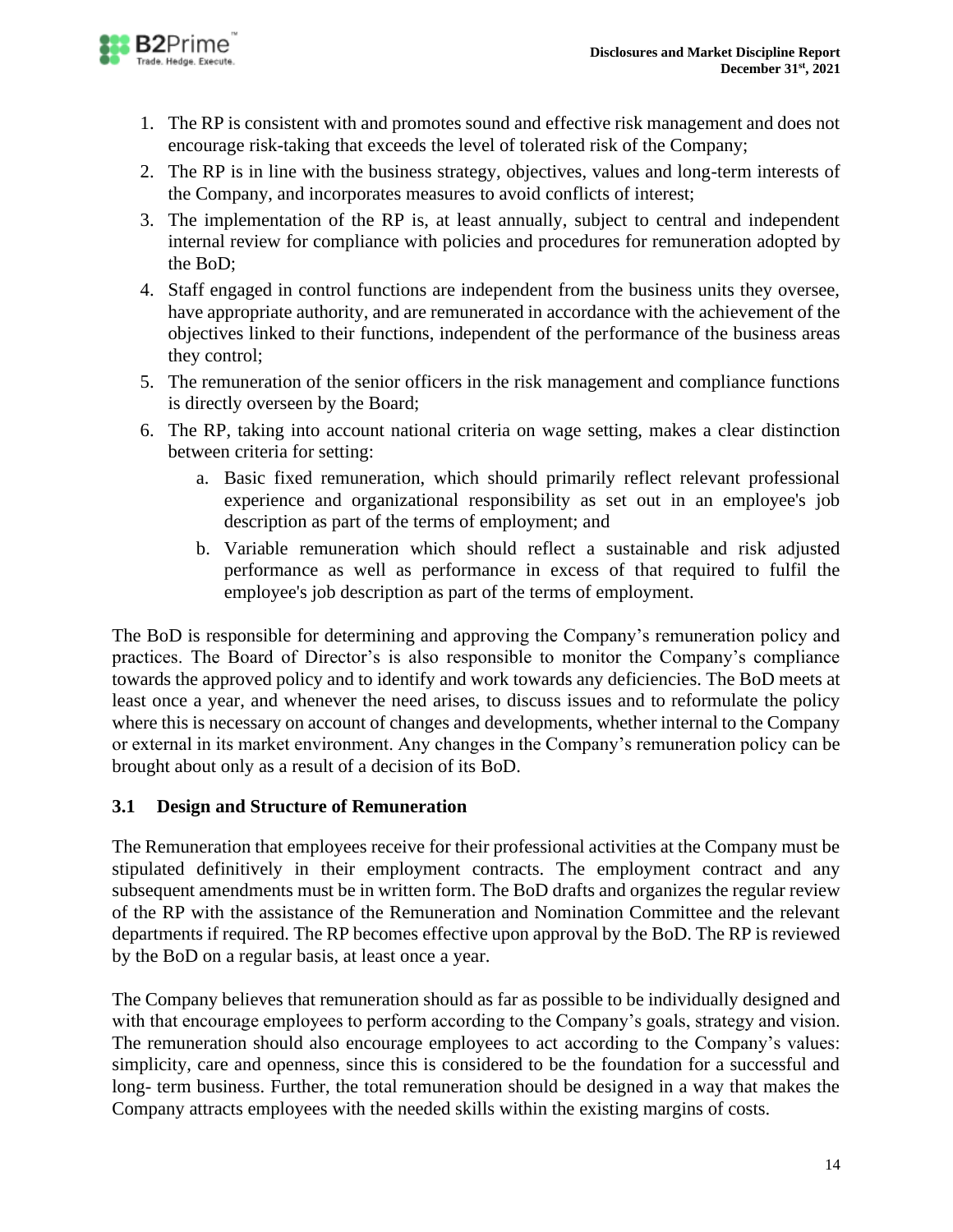

- 1. The RP is consistent with and promotes sound and effective risk management and does not encourage risk-taking that exceeds the level of tolerated risk of the Company;
- 2. The RP is in line with the business strategy, objectives, values and long-term interests of the Company, and incorporates measures to avoid conflicts of interest;
- 3. The implementation of the RP is, at least annually, subject to central and independent internal review for compliance with policies and procedures for remuneration adopted by the BoD;
- 4. Staff engaged in control functions are independent from the business units they oversee, have appropriate authority, and are remunerated in accordance with the achievement of the objectives linked to their functions, independent of the performance of the business areas they control;
- 5. The remuneration of the senior officers in the risk management and compliance functions is directly overseen by the Board;
- 6. The RP, taking into account national criteria on wage setting, makes a clear distinction between criteria for setting:
	- a. Basic fixed remuneration, which should primarily reflect relevant professional experience and organizational responsibility as set out in an employee's job description as part of the terms of employment; and
	- b. Variable remuneration which should reflect a sustainable and risk adjusted performance as well as performance in excess of that required to fulfil the employee's job description as part of the terms of employment.

The BoD is responsible for determining and approving the Company's remuneration policy and practices. The Board of Director's is also responsible to monitor the Company's compliance towards the approved policy and to identify and work towards any deficiencies. The BoD meets at least once a year, and whenever the need arises, to discuss issues and to reformulate the policy where this is necessary on account of changes and developments, whether internal to the Company or external in its market environment. Any changes in the Company's remuneration policy can be brought about only as a result of a decision of its BoD.

# <span id="page-13-0"></span>**3.1 Design and Structure of Remuneration**

The Remuneration that employees receive for their professional activities at the Company must be stipulated definitively in their employment contracts. The employment contract and any subsequent amendments must be in written form. The BoD drafts and organizes the regular review of the RP with the assistance of the Remuneration and Nomination Committee and the relevant departments if required. The RP becomes effective upon approval by the BoD. The RP is reviewed by the BoD on a regular basis, at least once a year.

The Company believes that remuneration should as far as possible to be individually designed and with that encourage employees to perform according to the Company's goals, strategy and vision. The remuneration should also encourage employees to act according to the Company's values: simplicity, care and openness, since this is considered to be the foundation for a successful and long- term business. Further, the total remuneration should be designed in a way that makes the Company attracts employees with the needed skills within the existing margins of costs.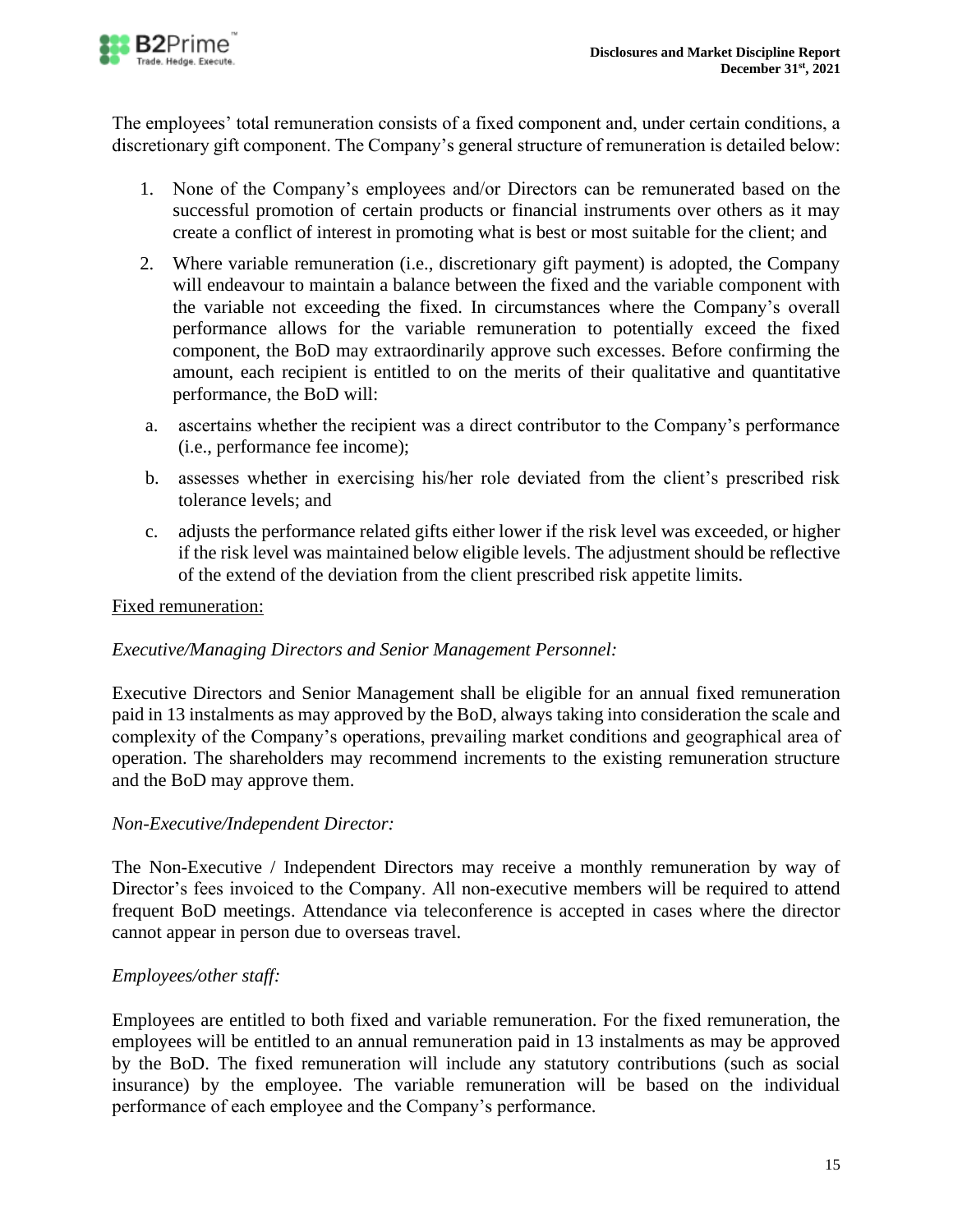

The employees' total remuneration consists of a fixed component and, under certain conditions, a discretionary gift component. The Company's general structure of remuneration is detailed below:

- 1. None of the Company's employees and/or Directors can be remunerated based on the successful promotion of certain products or financial instruments over others as it may create a conflict of interest in promoting what is best or most suitable for the client; and
- 2. Where variable remuneration (i.e., discretionary gift payment) is adopted, the Company will endeavour to maintain a balance between the fixed and the variable component with the variable not exceeding the fixed. In circumstances where the Company's overall performance allows for the variable remuneration to potentially exceed the fixed component, the BoD may extraordinarily approve such excesses. Before confirming the amount, each recipient is entitled to on the merits of their qualitative and quantitative performance, the BoD will:
- a. ascertains whether the recipient was a direct contributor to the Company's performance (i.e., performance fee income);
- b. assesses whether in exercising his/her role deviated from the client's prescribed risk tolerance levels; and
- c. adjusts the performance related gifts either lower if the risk level was exceeded, or higher if the risk level was maintained below eligible levels. The adjustment should be reflective of the extend of the deviation from the client prescribed risk appetite limits.

### Fixed remuneration:

### *Executive/Managing Directors and Senior Management Personnel:*

Executive Directors and Senior Management shall be eligible for an annual fixed remuneration paid in 13 instalments as may approved by the BoD, always taking into consideration the scale and complexity of the Company's operations, prevailing market conditions and geographical area of operation. The shareholders may recommend increments to the existing remuneration structure and the BoD may approve them.

### *Non-Executive/Independent Director:*

The Non-Executive / Independent Directors may receive a monthly remuneration by way of Director's fees invoiced to the Company. All non-executive members will be required to attend frequent BoD meetings. Attendance via teleconference is accepted in cases where the director cannot appear in person due to overseas travel.

# *Employees/other staff:*

Employees are entitled to both fixed and variable remuneration. For the fixed remuneration, the employees will be entitled to an annual remuneration paid in 13 instalments as may be approved by the BoD. The fixed remuneration will include any statutory contributions (such as social insurance) by the employee. The variable remuneration will be based on the individual performance of each employee and the Company's performance.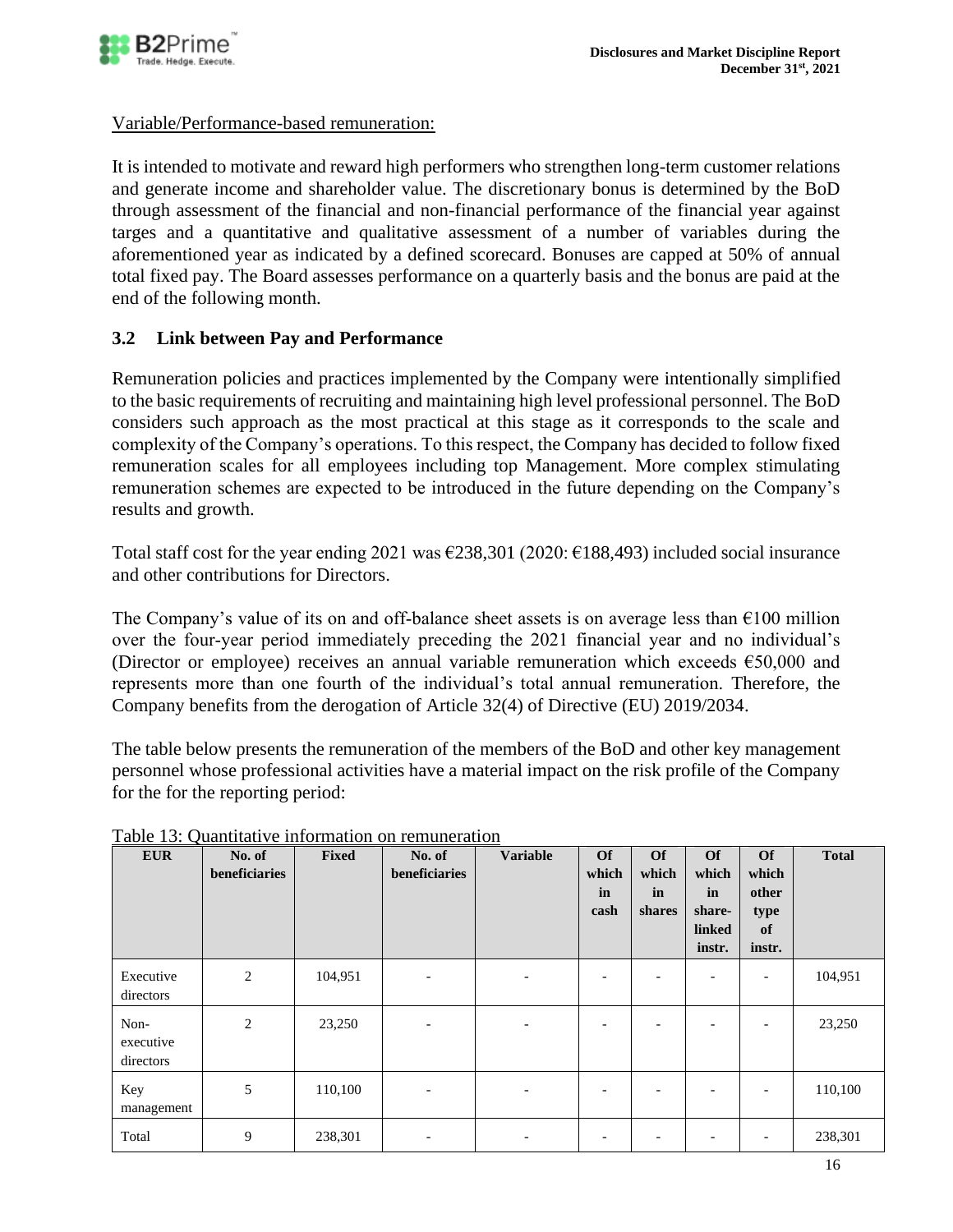

### Variable/Performance-based remuneration:

It is intended to motivate and reward high performers who strengthen long-term customer relations and generate income and shareholder value. The discretionary bonus is determined by the BoD through assessment of the financial and non-financial performance of the financial year against targes and a quantitative and qualitative assessment of a number of variables during the aforementioned year as indicated by a defined scorecard. Bonuses are capped at 50% of annual total fixed pay. The Board assesses performance on a quarterly basis and the bonus are paid at the end of the following month.

### <span id="page-15-0"></span>**3.2 Link between Pay and Performance**

Remuneration policies and practices implemented by the Company were intentionally simplified to the basic requirements of recruiting and maintaining high level professional personnel. The BoD considers such approach as the most practical at this stage as it corresponds to the scale and complexity of the Company's operations. To this respect, the Company has decided to follow fixed remuneration scales for all employees including top Management. More complex stimulating remuneration schemes are expected to be introduced in the future depending on the Company's results and growth.

Total staff cost for the year ending 2021 was  $\epsilon$ 238,301 (2020:  $\epsilon$ 188,493) included social insurance and other contributions for Directors.

The Company's value of its on and off-balance sheet assets is on average less than  $\epsilon$ 100 million over the four‐year period immediately preceding the 2021 financial year and no individual's (Director or employee) receives an annual variable remuneration which exceeds €50,000 and represents more than one fourth of the individual's total annual remuneration. Therefore, the Company benefits from the derogation of Article 32(4) of Directive (EU) 2019/2034.

The table below presents the remuneration of the members of the BoD and other key management personnel whose professional activities have a material impact on the risk profile of the Company for the for the reporting period:

| <b>EUR</b>                     | No. of<br>beneficiaries | Fixed   | No. of<br>beneficiaries  | <b>Variable</b>              | <b>Of</b><br>which<br>in<br>cash | <b>Of</b><br>which<br>in<br>shares | <b>Of</b><br>which<br>in<br>share-<br>linked<br>instr. | <b>Of</b><br>which<br>other<br>type<br>of<br>instr. | <b>Total</b> |
|--------------------------------|-------------------------|---------|--------------------------|------------------------------|----------------------------------|------------------------------------|--------------------------------------------------------|-----------------------------------------------------|--------------|
| Executive<br>directors         | 2                       | 104,951 | $\overline{\phantom{a}}$ | $\overline{\phantom{a}}$     | $\overline{\phantom{a}}$         | $\overline{\phantom{0}}$           | $\overline{\phantom{a}}$                               | $\overline{\phantom{a}}$                            | 104,951      |
| Non-<br>executive<br>directors | 2                       | 23,250  |                          | $\qquad \qquad \blacksquare$ | $\overline{\phantom{0}}$         | ٠                                  |                                                        | $\overline{\phantom{0}}$                            | 23,250       |
| Key<br>management              | 5                       | 110,100 | $\overline{\phantom{0}}$ | $\overline{\phantom{a}}$     |                                  |                                    |                                                        |                                                     | 110,100      |
| Total                          | 9                       | 238,301 | $\overline{\phantom{0}}$ | $\overline{\phantom{0}}$     | $\overline{\phantom{a}}$         | $\overline{\phantom{0}}$           |                                                        | $\overline{\phantom{a}}$                            | 238,301      |

#### Table 13: Quantitative information on remuneration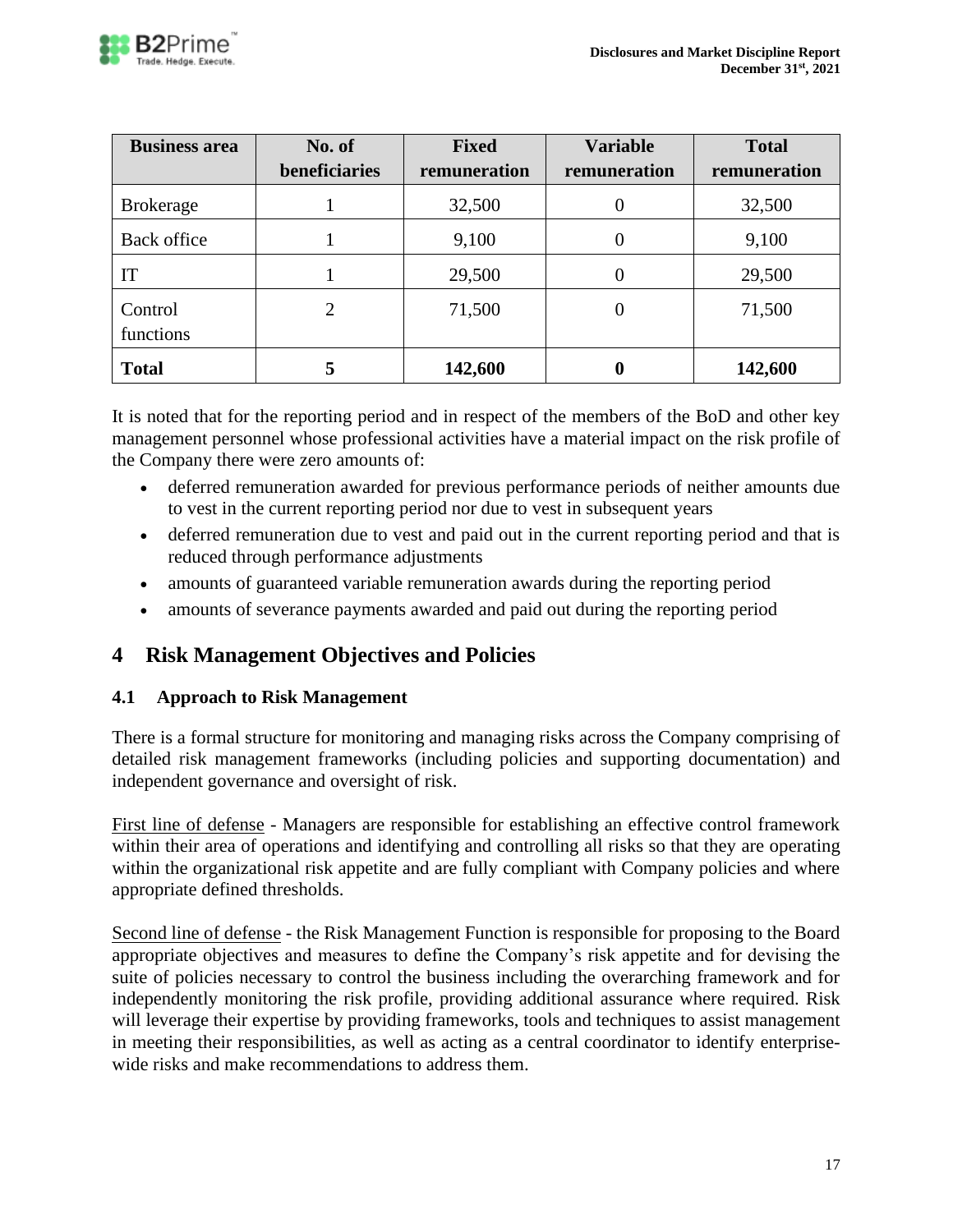

| <b>Business area</b> | No. of        | <b>Fixed</b> | <b>Variable</b> | <b>Total</b> |
|----------------------|---------------|--------------|-----------------|--------------|
|                      | beneficiaries | remuneration | remuneration    | remuneration |
| <b>Brokerage</b>     |               | 32,500       | O               | 32,500       |
| Back office          |               | 9,100        | 0               | 9,100        |
| IT                   |               | 29,500       | $\theta$        | 29,500       |
| Control<br>functions | 2             | 71,500       | 0               | 71,500       |
| <b>Total</b>         |               | 142,600      |                 | 142,600      |

It is noted that for the reporting period and in respect of the members of the BoD and other key management personnel whose professional activities have a material impact on the risk profile of the Company there were zero amounts of:

- deferred remuneration awarded for previous performance periods of neither amounts due to vest in the current reporting period nor due to vest in subsequent years
- deferred remuneration due to vest and paid out in the current reporting period and that is reduced through performance adjustments
- amounts of guaranteed variable remuneration awards during the reporting period
- amounts of severance payments awarded and paid out during the reporting period

# <span id="page-16-0"></span>**4 Risk Management Objectives and Policies**

# <span id="page-16-1"></span>**4.1 Approach to Risk Management**

There is a formal structure for monitoring and managing risks across the Company comprising of detailed risk management frameworks (including policies and supporting documentation) and independent governance and oversight of risk.

First line of defense - Managers are responsible for establishing an effective control framework within their area of operations and identifying and controlling all risks so that they are operating within the organizational risk appetite and are fully compliant with Company policies and where appropriate defined thresholds.

Second line of defense - the Risk Management Function is responsible for proposing to the Board appropriate objectives and measures to define the Company's risk appetite and for devising the suite of policies necessary to control the business including the overarching framework and for independently monitoring the risk profile, providing additional assurance where required. Risk will leverage their expertise by providing frameworks, tools and techniques to assist management in meeting their responsibilities, as well as acting as a central coordinator to identify enterprisewide risks and make recommendations to address them.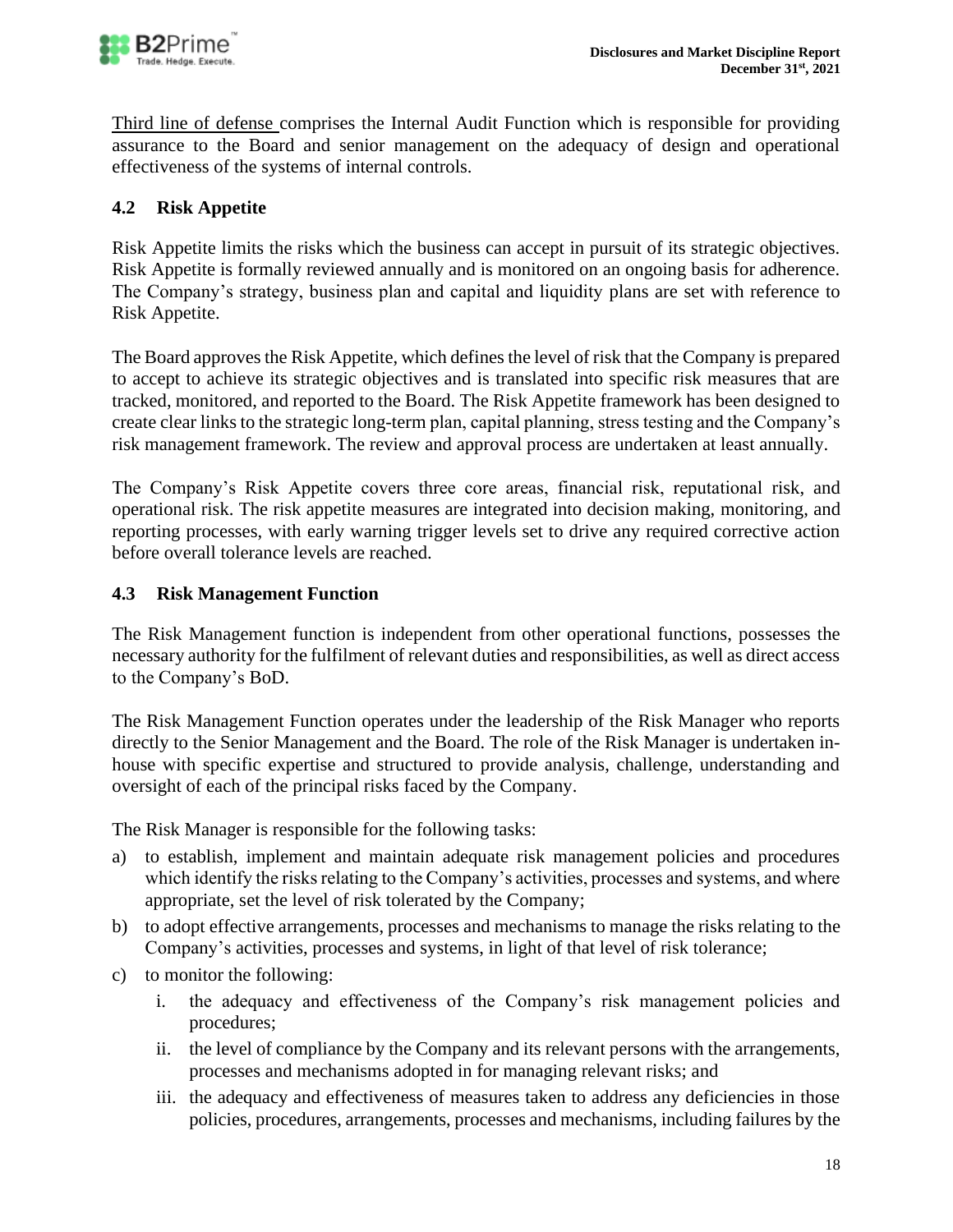

Third line of defense comprises the Internal Audit Function which is responsible for providing assurance to the Board and senior management on the adequacy of design and operational effectiveness of the systems of internal controls.

# <span id="page-17-0"></span>**4.2 Risk Appetite**

Risk Appetite limits the risks which the business can accept in pursuit of its strategic objectives. Risk Appetite is formally reviewed annually and is monitored on an ongoing basis for adherence. The Company's strategy, business plan and capital and liquidity plans are set with reference to Risk Appetite.

The Board approves the Risk Appetite, which defines the level of risk that the Company is prepared to accept to achieve its strategic objectives and is translated into specific risk measures that are tracked, monitored, and reported to the Board. The Risk Appetite framework has been designed to create clear links to the strategic long-term plan, capital planning, stress testing and the Company's risk management framework. The review and approval process are undertaken at least annually.

The Company's Risk Appetite covers three core areas, financial risk, reputational risk, and operational risk. The risk appetite measures are integrated into decision making, monitoring, and reporting processes, with early warning trigger levels set to drive any required corrective action before overall tolerance levels are reached.

### <span id="page-17-1"></span>**4.3 Risk Management Function**

The Risk Management function is independent from other operational functions, possesses the necessary authority for the fulfilment of relevant duties and responsibilities, as well as direct access to the Company's BoD.

The Risk Management Function operates under the leadership of the Risk Manager who reports directly to the Senior Management and the Board. The role of the Risk Manager is undertaken inhouse with specific expertise and structured to provide analysis, challenge, understanding and oversight of each of the principal risks faced by the Company.

The Risk Manager is responsible for the following tasks:

- a) to establish, implement and maintain adequate risk management policies and procedures which identify the risks relating to the Company's activities, processes and systems, and where appropriate, set the level of risk tolerated by the Company;
- b) to adopt effective arrangements, processes and mechanisms to manage the risks relating to the Company's activities, processes and systems, in light of that level of risk tolerance;
- c) to monitor the following:
	- i. the adequacy and effectiveness of the Company's risk management policies and procedures;
	- ii. the level of compliance by the Company and its relevant persons with the arrangements, processes and mechanisms adopted in for managing relevant risks; and
	- iii. the adequacy and effectiveness of measures taken to address any deficiencies in those policies, procedures, arrangements, processes and mechanisms, including failures by the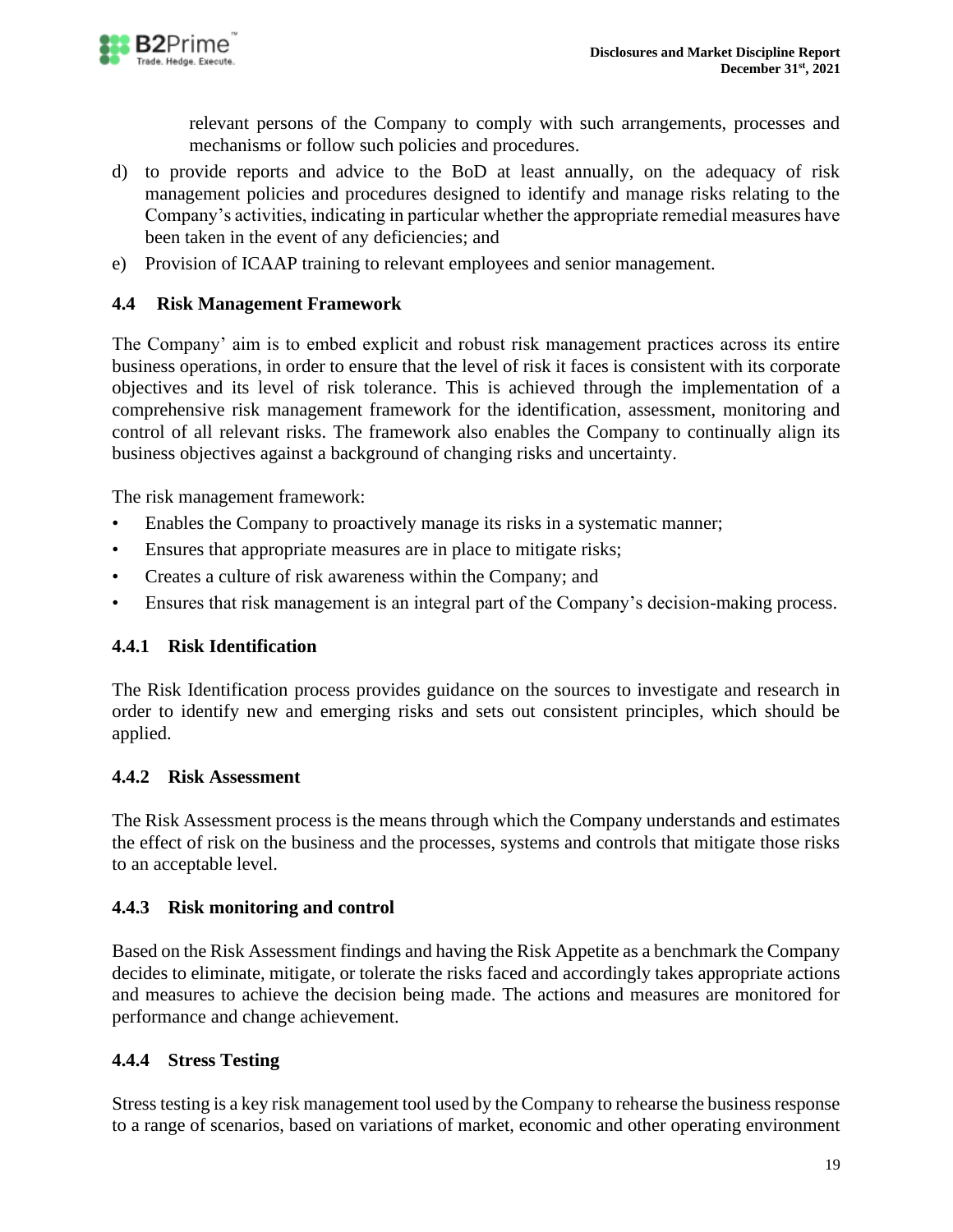

relevant persons of the Company to comply with such arrangements, processes and mechanisms or follow such policies and procedures.

- d) to provide reports and advice to the BoD at least annually, on the adequacy of risk management policies and procedures designed to identify and manage risks relating to the Company's activities, indicating in particular whether the appropriate remedial measures have been taken in the event of any deficiencies; and
- <span id="page-18-0"></span>e) Provision of ICAAP training to relevant employees and senior management.

# **4.4 Risk Management Framework**

The Company' aim is to embed explicit and robust risk management practices across its entire business operations, in order to ensure that the level of risk it faces is consistent with its corporate objectives and its level of risk tolerance. This is achieved through the implementation of a comprehensive risk management framework for the identification, assessment, monitoring and control of all relevant risks. The framework also enables the Company to continually align its business objectives against a background of changing risks and uncertainty.

The risk management framework:

- Enables the Company to proactively manage its risks in a systematic manner;
- Ensures that appropriate measures are in place to mitigate risks;
- Creates a culture of risk awareness within the Company; and
- Ensures that risk management is an integral part of the Company's decision-making process.

# <span id="page-18-1"></span>**4.4.1 Risk Identification**

The Risk Identification process provides guidance on the sources to investigate and research in order to identify new and emerging risks and sets out consistent principles, which should be applied.

### <span id="page-18-2"></span>**4.4.2 Risk Assessment**

The Risk Assessment process is the means through which the Company understands and estimates the effect of risk on the business and the processes, systems and controls that mitigate those risks to an acceptable level.

### <span id="page-18-3"></span>**4.4.3 Risk monitoring and control**

Based on the Risk Assessment findings and having the Risk Appetite as a benchmark the Company decides to eliminate, mitigate, or tolerate the risks faced and accordingly takes appropriate actions and measures to achieve the decision being made. The actions and measures are monitored for performance and change achievement.

### <span id="page-18-4"></span>**4.4.4 Stress Testing**

Stress testing is a key risk management tool used by the Company to rehearse the business response to a range of scenarios, based on variations of market, economic and other operating environment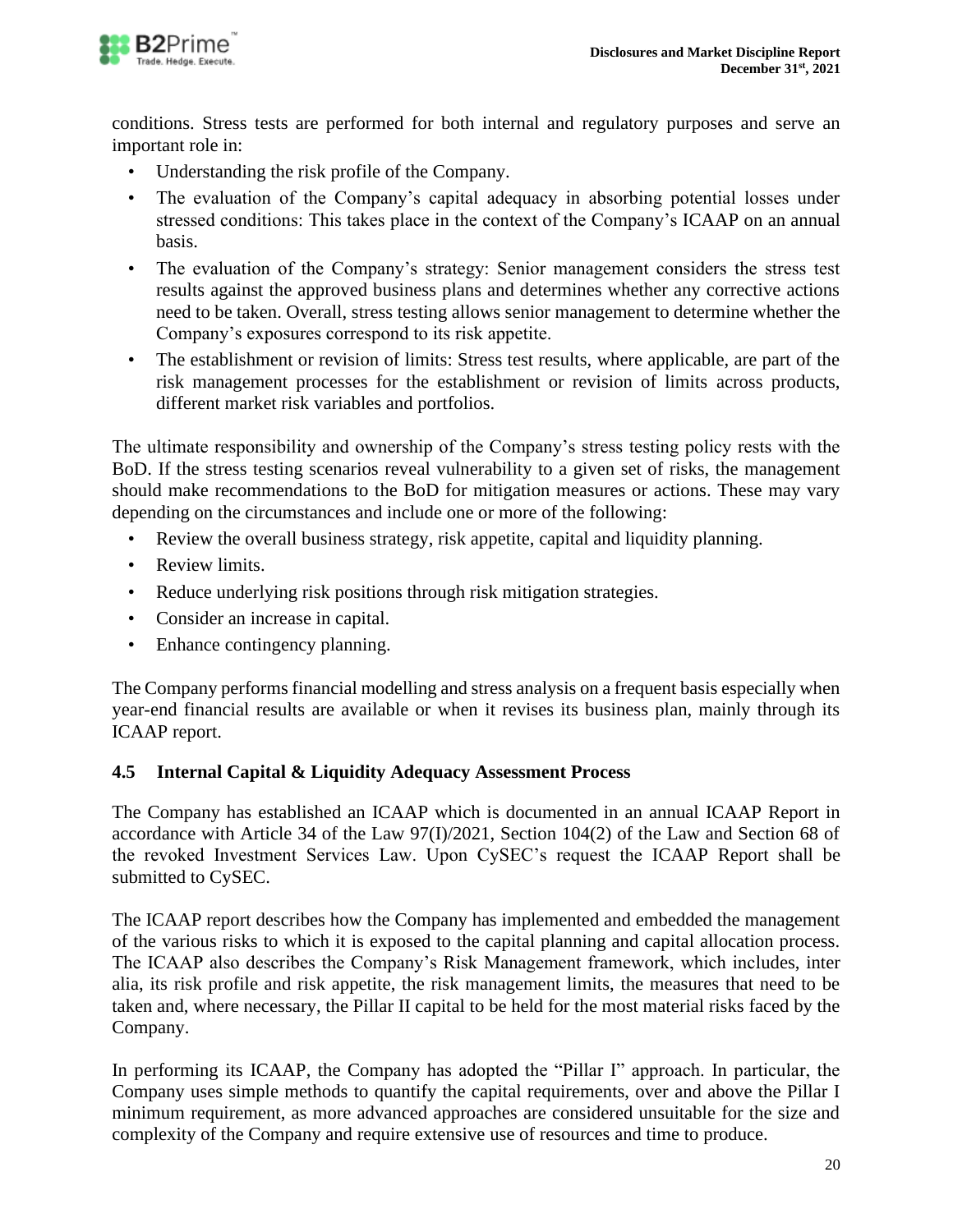

conditions. Stress tests are performed for both internal and regulatory purposes and serve an important role in:

- Understanding the risk profile of the Company.
- The evaluation of the Company's capital adequacy in absorbing potential losses under stressed conditions: This takes place in the context of the Company's ICAAP on an annual basis.
- The evaluation of the Company's strategy: Senior management considers the stress test results against the approved business plans and determines whether any corrective actions need to be taken. Overall, stress testing allows senior management to determine whether the Company's exposures correspond to its risk appetite.
- The establishment or revision of limits: Stress test results, where applicable, are part of the risk management processes for the establishment or revision of limits across products, different market risk variables and portfolios.

The ultimate responsibility and ownership of the Company's stress testing policy rests with the BoD. If the stress testing scenarios reveal vulnerability to a given set of risks, the management should make recommendations to the BoD for mitigation measures or actions. These may vary depending on the circumstances and include one or more of the following:

- Review the overall business strategy, risk appetite, capital and liquidity planning.
- Review limits.
- Reduce underlying risk positions through risk mitigation strategies.
- Consider an increase in capital.
- Enhance contingency planning.

The Company performs financial modelling and stress analysis on a frequent basis especially when year-end financial results are available or when it revises its business plan, mainly through its ICAAP report.

### <span id="page-19-0"></span>**4.5 Internal Capital & Liquidity Adequacy Assessment Process**

The Company has established an ICAAP which is documented in an annual ICAAP Report in accordance with Article 34 of the Law 97(I)/2021, Section 104(2) of the Law and Section 68 of the revoked Investment Services Law. Upon CySEC's request the ICAAP Report shall be submitted to CySEC.

The ICAAP report describes how the Company has implemented and embedded the management of the various risks to which it is exposed to the capital planning and capital allocation process. The ICAAP also describes the Company's Risk Management framework, which includes, inter alia, its risk profile and risk appetite, the risk management limits, the measures that need to be taken and, where necessary, the Pillar II capital to be held for the most material risks faced by the Company.

In performing its ICAAP, the Company has adopted the "Pillar I" approach. In particular, the Company uses simple methods to quantify the capital requirements, over and above the Pillar I minimum requirement, as more advanced approaches are considered unsuitable for the size and complexity of the Company and require extensive use of resources and time to produce.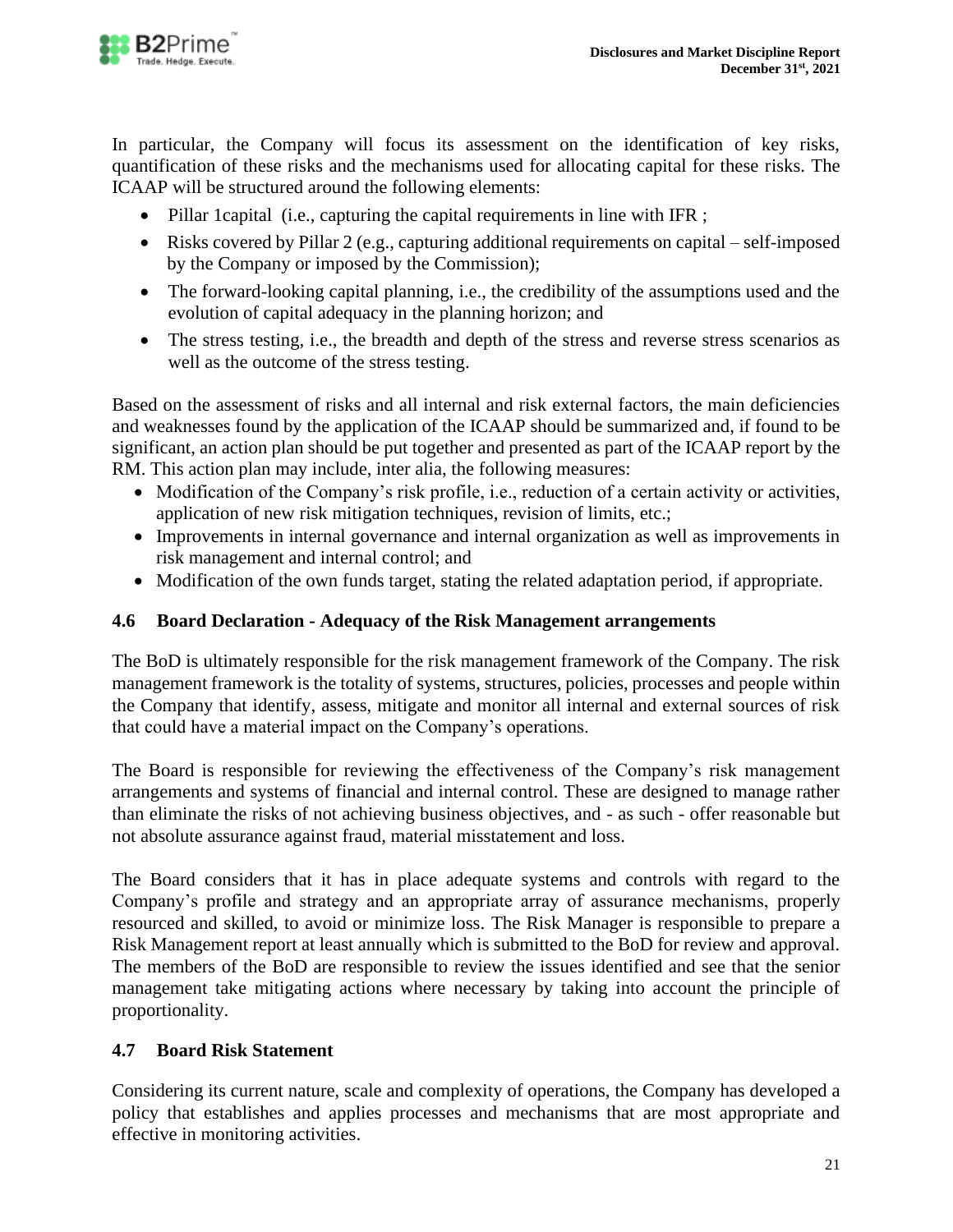

In particular, the Company will focus its assessment on the identification of key risks, quantification of these risks and the mechanisms used for allocating capital for these risks. The ICAAP will be structured around the following elements:

- Pillar 1 capital (i.e., capturing the capital requirements in line with IFR ;
- Risks covered by Pillar 2 (e.g., capturing additional requirements on capital self-imposed by the Company or imposed by the Commission);
- The forward-looking capital planning, i.e., the credibility of the assumptions used and the evolution of capital adequacy in the planning horizon; and
- The stress testing, i.e., the breadth and depth of the stress and reverse stress scenarios as well as the outcome of the stress testing.

Based on the assessment of risks and all internal and risk external factors, the main deficiencies and weaknesses found by the application of the ICAAP should be summarized and, if found to be significant, an action plan should be put together and presented as part of the ICAAP report by the RM. This action plan may include, inter alia, the following measures:

- Modification of the Company's risk profile, i.e., reduction of a certain activity or activities, application of new risk mitigation techniques, revision of limits, etc.;
- Improvements in internal governance and internal organization as well as improvements in risk management and internal control; and
- Modification of the own funds target, stating the related adaptation period, if appropriate.

### <span id="page-20-0"></span>**4.6 Board Declaration - Adequacy of the Risk Management arrangements**

The BoD is ultimately responsible for the risk management framework of the Company. The risk management framework is the totality of systems, structures, policies, processes and people within the Company that identify, assess, mitigate and monitor all internal and external sources of risk that could have a material impact on the Company's operations.

The Board is responsible for reviewing the effectiveness of the Company's risk management arrangements and systems of financial and internal control. These are designed to manage rather than eliminate the risks of not achieving business objectives, and - as such - offer reasonable but not absolute assurance against fraud, material misstatement and loss.

The Board considers that it has in place adequate systems and controls with regard to the Company's profile and strategy and an appropriate array of assurance mechanisms, properly resourced and skilled, to avoid or minimize loss. The Risk Manager is responsible to prepare a Risk Management report at least annually which is submitted to the BoD for review and approval. The members of the BoD are responsible to review the issues identified and see that the senior management take mitigating actions where necessary by taking into account the principle of proportionality.

# <span id="page-20-1"></span>**4.7 Board Risk Statement**

Considering its current nature, scale and complexity of operations, the Company has developed a policy that establishes and applies processes and mechanisms that are most appropriate and effective in monitoring activities.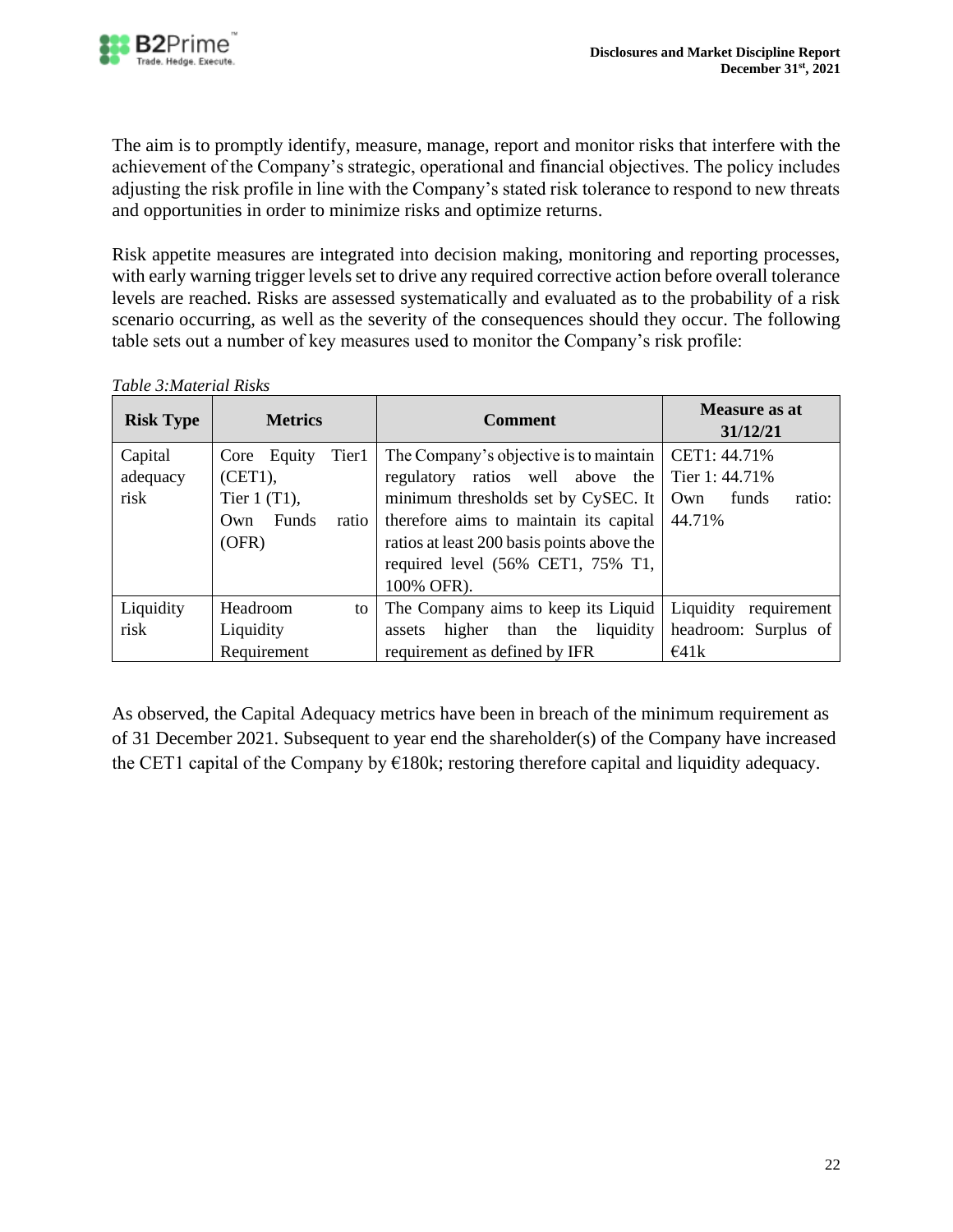

The aim is to promptly identify, measure, manage, report and monitor risks that interfere with the achievement of the Company's strategic, operational and financial objectives. The policy includes adjusting the risk profile in line with the Company's stated risk tolerance to respond to new threats and opportunities in order to minimize risks and optimize returns.

Risk appetite measures are integrated into decision making, monitoring and reporting processes, with early warning trigger levels set to drive any required corrective action before overall tolerance levels are reached. Risks are assessed systematically and evaluated as to the probability of a risk scenario occurring, as well as the severity of the consequences should they occur. The following table sets out a number of key measures used to monitor the Company's risk profile:

| <b>Risk Type</b>            | <b>Metrics</b>                                                                                | <b>Comment</b>                                                                                                                                                                                                                                               | <b>Measure as at</b><br>31/12/21                                   |  |  |
|-----------------------------|-----------------------------------------------------------------------------------------------|--------------------------------------------------------------------------------------------------------------------------------------------------------------------------------------------------------------------------------------------------------------|--------------------------------------------------------------------|--|--|
| Capital<br>adequacy<br>risk | Tier1<br>Core Equity<br>$(CET1)$ ,<br>Tier $1(T1)$ ,<br><b>Funds</b><br>ratio<br>Own<br>(OFR) | The Company's objective is to maintain<br>regulatory ratios well above the<br>minimum thresholds set by CySEC. It<br>therefore aims to maintain its capital<br>ratios at least 200 basis points above the<br>required level (56% CET1, 75% T1,<br>100% OFR). | CET1: 44.71%<br>Tier 1: 44.71%<br>funds<br>ratio:<br>Own<br>44.71% |  |  |
| Liquidity                   | Headroom<br>to                                                                                | The Company aims to keep its Liquid                                                                                                                                                                                                                          | Liquidity<br>requirement                                           |  |  |
| risk                        | Liquidity                                                                                     | than the<br>liquidity<br>higher<br>assets                                                                                                                                                                                                                    | headroom: Surplus of                                               |  |  |
|                             | Requirement                                                                                   | requirement as defined by IFR                                                                                                                                                                                                                                | $\epsilon$ 41k                                                     |  |  |

*Table 3:Material Risks*

As observed, the Capital Adequacy metrics have been in breach of the minimum requirement as of 31 December 2021. Subsequent to year end the shareholder(s) of the Company have increased the CET1 capital of the Company by  $\epsilon$ 180k; restoring therefore capital and liquidity adequacy.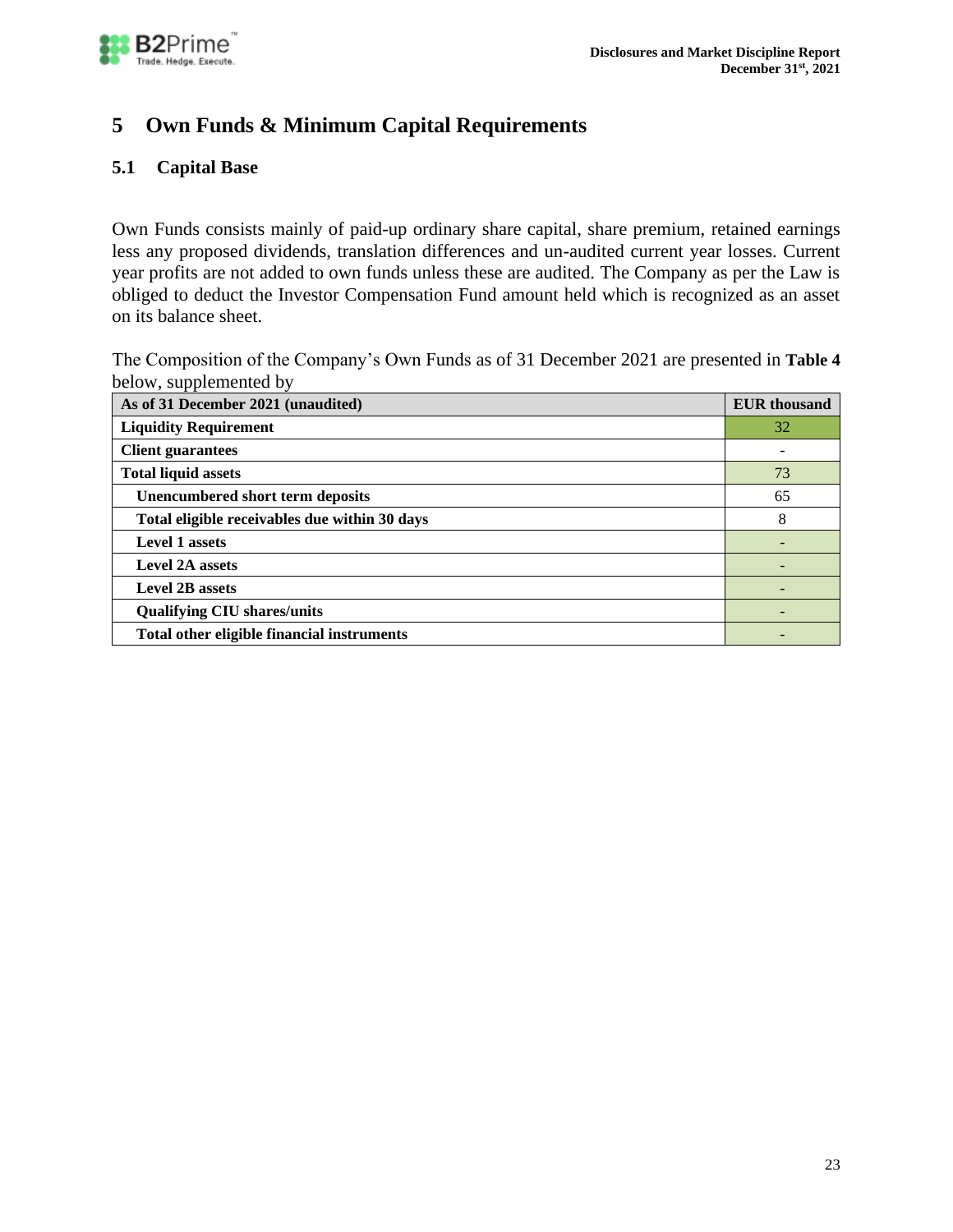

# <span id="page-22-0"></span>**5 Own Funds & Minimum Capital Requirements**

# <span id="page-22-1"></span>**5.1 Capital Base**

Own Funds consists mainly of paid-up ordinary share capital, share premium, retained earnings less any proposed dividends, translation differences and un-audited current year losses. Current year profits are not added to own funds unless these are audited. The Company as per the Law is obliged to deduct the Investor Compensation Fund amount held which is recognized as an asset on its balance sheet.

The Composition of the Company's Own Funds as of 31 December 2021 are presented in **[Table 4](#page-23-1)** below, supplemented by

| As of 31 December 2021 (unaudited)            | <b>EUR</b> thousand |
|-----------------------------------------------|---------------------|
| <b>Liquidity Requirement</b>                  | 32                  |
| <b>Client guarantees</b>                      |                     |
| <b>Total liquid assets</b>                    | 73                  |
| <b>Unencumbered short term deposits</b>       | 65                  |
| Total eligible receivables due within 30 days | 8                   |
| <b>Level 1 assets</b>                         |                     |
| <b>Level 2A assets</b>                        |                     |
| <b>Level 2B assets</b>                        |                     |
| <b>Qualifying CIU shares/units</b>            |                     |
| Total other eligible financial instruments    |                     |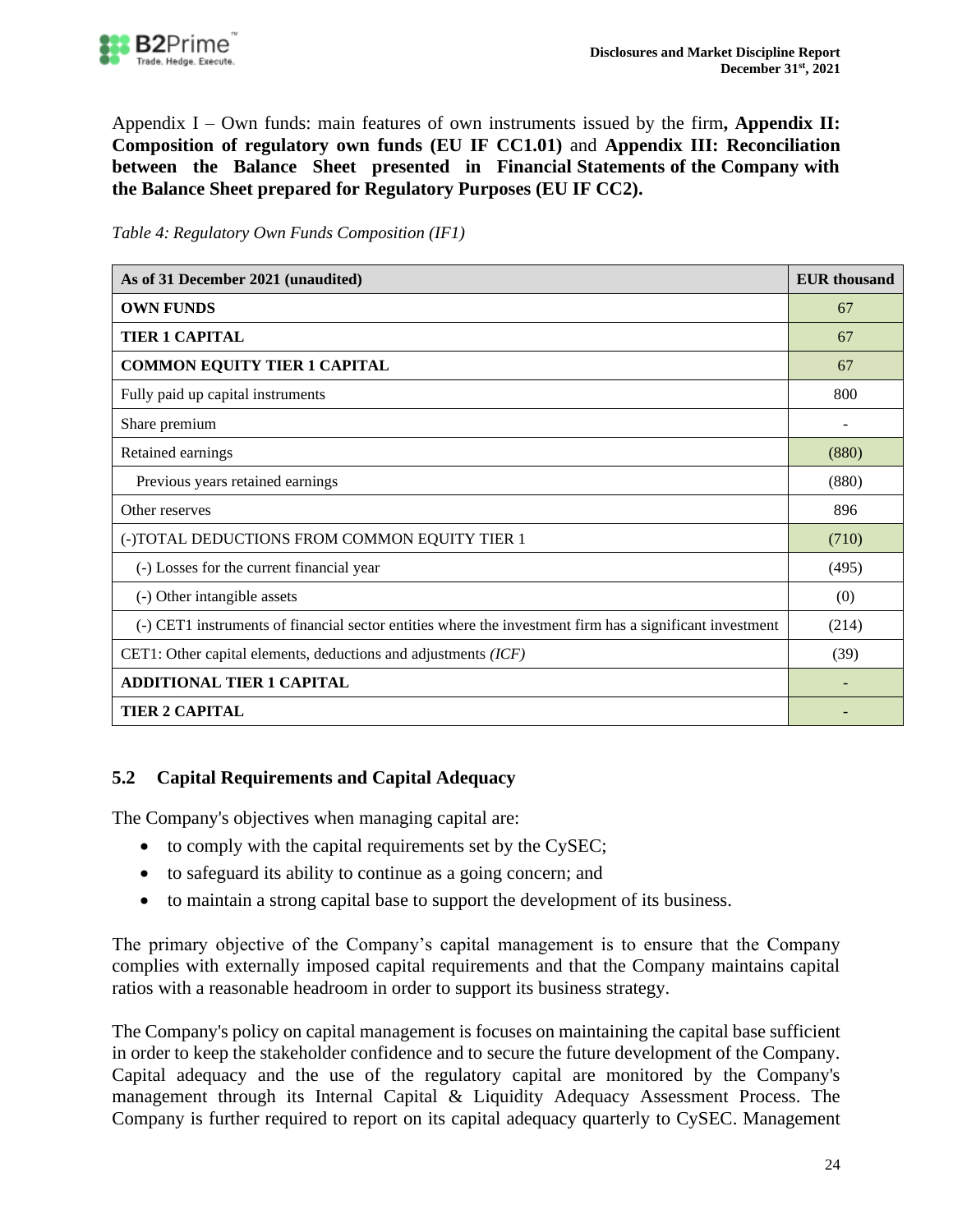

Appendix I – [Own funds: main features of own instruments issued by the](#page-30-1) firm**, [Appendix II:](#page-33-0)  [Composition of regulatory own funds](#page-33-0) (EU IF CC1.01)** and **[Appendix III: Reconciliation](#page-36-0)  [between the Balance Sheet presented in Financial Statements of the Company with](#page-36-0)  [the Balance Sheet prepared for Regulatory Purposes \(EU IF CC2\).](#page-36-0)** 

<span id="page-23-1"></span>

| Table 4: Regulatory Own Funds Composition (IF1) |  |  |  |
|-------------------------------------------------|--|--|--|
|                                                 |  |  |  |

| As of 31 December 2021 (unaudited)                                                                       |       |  |
|----------------------------------------------------------------------------------------------------------|-------|--|
| <b>OWN FUNDS</b>                                                                                         | 67    |  |
| <b>TIER 1 CAPITAL</b>                                                                                    | 67    |  |
| <b>COMMON EQUITY TIER 1 CAPITAL</b>                                                                      | 67    |  |
| Fully paid up capital instruments                                                                        | 800   |  |
| Share premium                                                                                            |       |  |
| Retained earnings                                                                                        | (880) |  |
| Previous years retained earnings                                                                         | (880) |  |
| Other reserves                                                                                           | 896   |  |
| (-)TOTAL DEDUCTIONS FROM COMMON EQUITY TIER 1                                                            | (710) |  |
| (-) Losses for the current financial year                                                                | (495) |  |
| (-) Other intangible assets                                                                              | (0)   |  |
| (-) CET1 instruments of financial sector entities where the investment firm has a significant investment | (214) |  |
| CET1: Other capital elements, deductions and adjustments $(ICF)$                                         | (39)  |  |
| <b>ADDITIONAL TIER 1 CAPITAL</b>                                                                         |       |  |
| <b>TIER 2 CAPITAL</b>                                                                                    |       |  |

# <span id="page-23-0"></span>**5.2 Capital Requirements and Capital Adequacy**

The Company's objectives when managing capital are:

- to comply with the capital requirements set by the CySEC;
- to safeguard its ability to continue as a going concern; and
- to maintain a strong capital base to support the development of its business.

The primary objective of the Company's capital management is to ensure that the Company complies with externally imposed capital requirements and that the Company maintains capital ratios with a reasonable headroom in order to support its business strategy.

The Company's policy on capital management is focuses on maintaining the capital base sufficient in order to keep the stakeholder confidence and to secure the future development of the Company. Capital adequacy and the use of the regulatory capital are monitored by the Company's management through its Internal Capital & Liquidity Adequacy Assessment Process. The Company is further required to report on its capital adequacy quarterly to CySEC. Management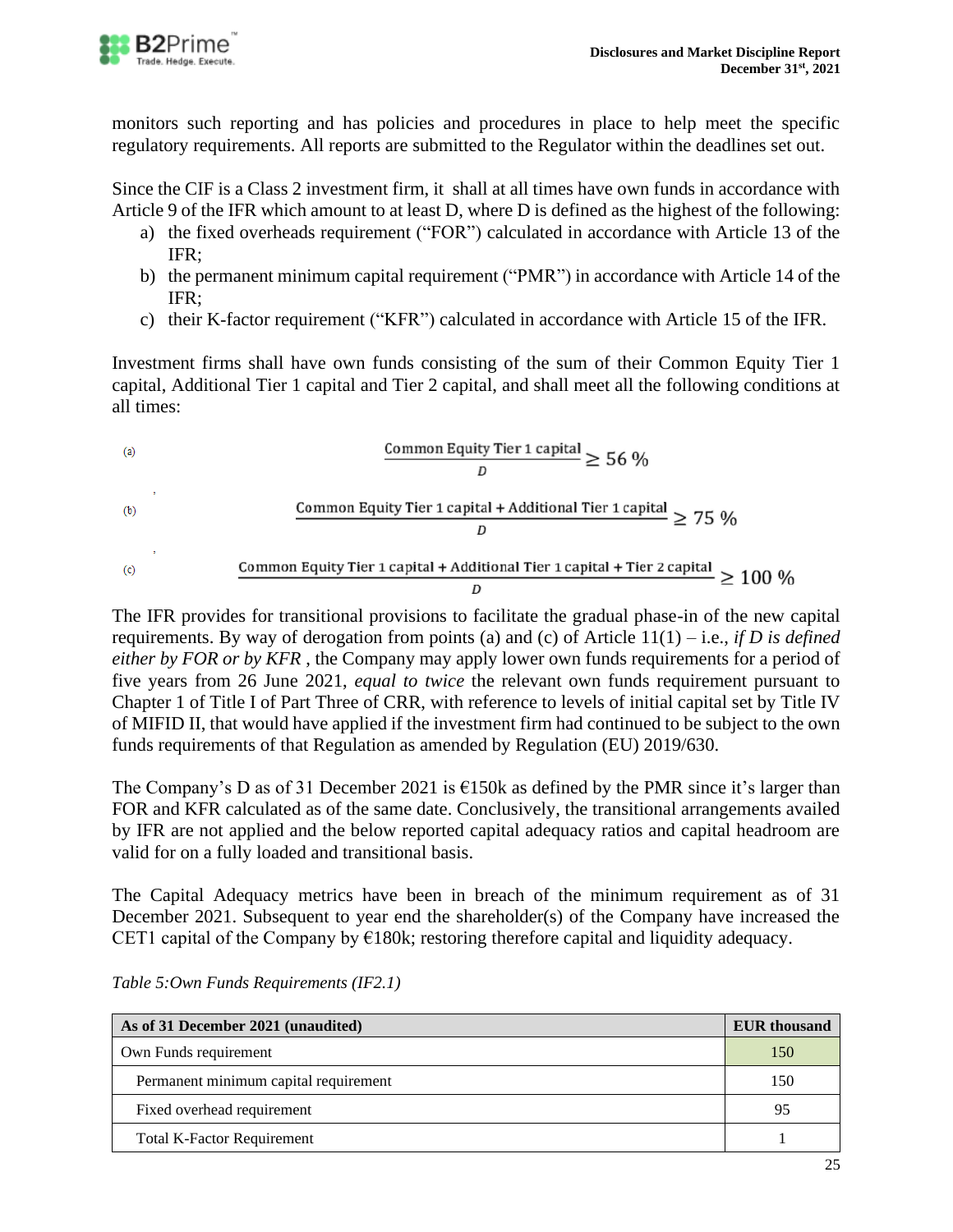

monitors such reporting and has policies and procedures in place to help meet the specific regulatory requirements. All reports are submitted to the Regulator within the deadlines set out.

Since the CIF is a Class 2 investment firm, it shall at all times have own funds in accordance with Article 9 of the IFR which amount to at least D, where D is defined as the highest of the following:

- a) the fixed overheads requirement ("FOR") calculated in accordance with Article 13 of the IFR;
- b) the permanent minimum capital requirement ("PMR") in accordance with Article 14 of the IFR;
- c) their K‐factor requirement ("KFR") calculated in accordance with Article 15 of the IFR.

Investment firms shall have own funds consisting of the sum of their Common Equity Tier 1 capital, Additional Tier 1 capital and Tier 2 capital, and shall meet all the following conditions at all times:

(a)

\nCommon Equity Tier 1 capital 
$$
\geq 56\%
$$

\n(b)

\nCommon Equity Tier 1 capital + Additional Tier 1 capital  $\geq 75\%$ 

\n(c)

\nCommon Equity Tier 1 capital + Additional Tier 1 capital + Tier 2 capital  $\geq 100\%$ 

The IFR provides for transitional provisions to facilitate the gradual phase-in of the new capital requirements. By way of derogation from points (a) and (c) of Article 11(1) – i.e., *if D is defined either by FOR or by KFR* , the Company may apply lower own funds requirements for a period of five years from 26 June 2021, *equal to twice* the relevant own funds requirement pursuant to Chapter 1 of Title I of Part Three of CRR, with reference to levels of initial capital set by Title IV of MIFID II, that would have applied if the investment firm had continued to be subject to the own funds requirements of that Regulation as amended by Regulation (EU) 2019/630.

The Company's D as of 31 December 2021 is  $\epsilon$ 150k as defined by the PMR since it's larger than FOR and KFR calculated as of the same date. Conclusively, the transitional arrangements availed by IFR are not applied and the below reported capital adequacy ratios and capital headroom are valid for on a fully loaded and transitional basis.

The Capital Adequacy metrics have been in breach of the minimum requirement as of 31 December 2021. Subsequent to year end the shareholder(s) of the Company have increased the CET1 capital of the Company by  $\epsilon$ 180k; restoring therefore capital and liquidity adequacy.

| As of 31 December 2021 (unaudited)    | <b>EUR</b> thousand |
|---------------------------------------|---------------------|
| Own Funds requirement                 | 150                 |
| Permanent minimum capital requirement | 150                 |
| Fixed overhead requirement            | 95                  |
| <b>Total K-Factor Requirement</b>     |                     |

*Table 5:Own Funds Requirements (IF2.1)*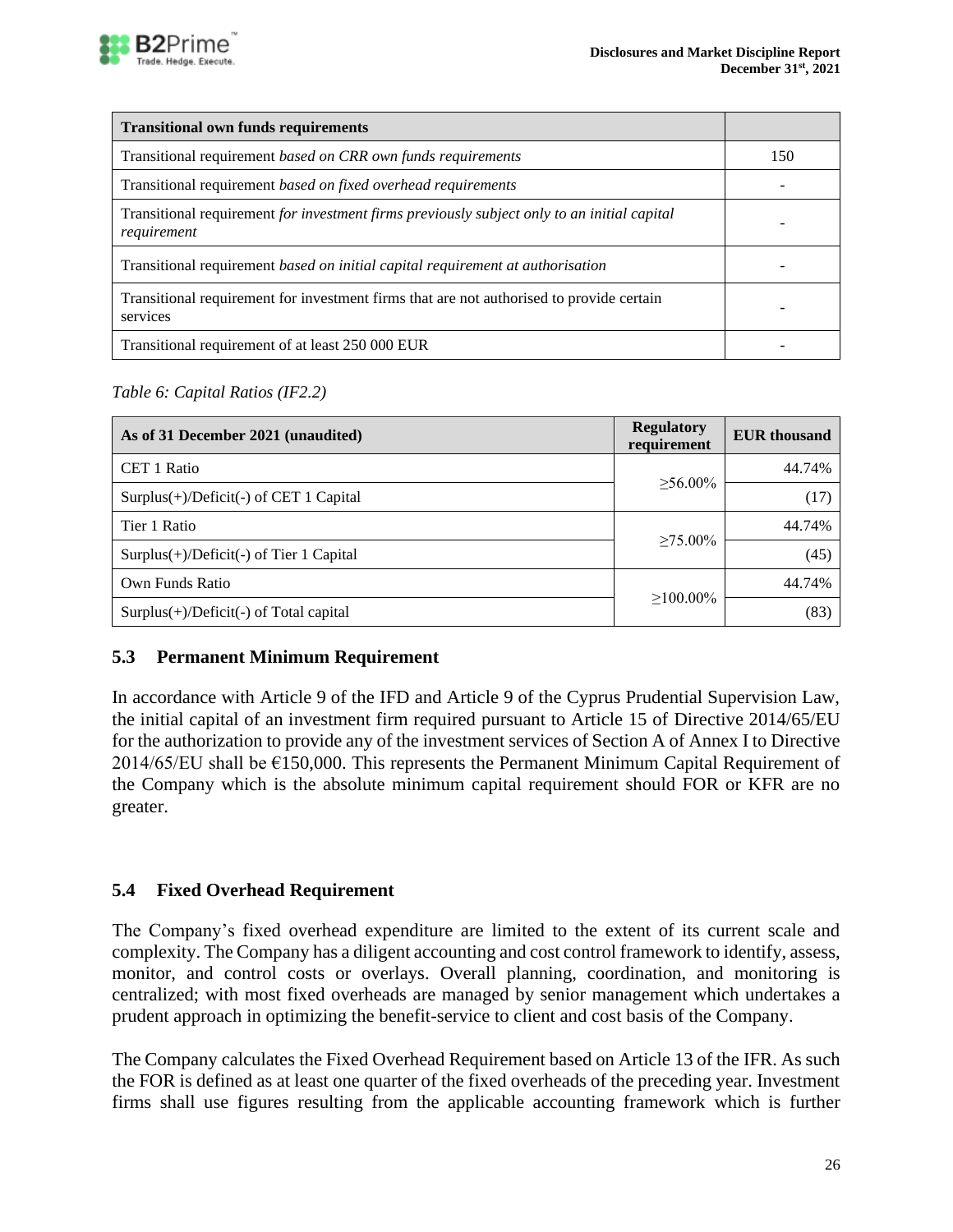

| <b>Transitional own funds requirements</b>                                                                 |     |
|------------------------------------------------------------------------------------------------------------|-----|
| Transitional requirement based on CRR own funds requirements                                               | 150 |
| Transitional requirement based on fixed overhead requirements                                              |     |
| Transitional requirement for investment firms previously subject only to an initial capital<br>requirement |     |
| Transitional requirement based on initial capital requirement at authorisation                             |     |
| Transitional requirement for investment firms that are not authorised to provide certain<br>services       |     |
| Transitional requirement of at least 250 000 EUR                                                           |     |

### *Table 6: Capital Ratios (IF2.2)*

| As of 31 December 2021 (unaudited)        | <b>Regulatory</b><br>requirement | <b>EUR</b> thousand |
|-------------------------------------------|----------------------------------|---------------------|
| CET 1 Ratio                               |                                  | 44.74%              |
| $Surplus(+)/Deficit(-)$ of CET 1 Capital  | $>56.00\%$                       | (17)                |
| Tier 1 Ratio                              | $>75.00\%$                       | 44.74%              |
| $Surplus(+)/Deficit(-)$ of Tier 1 Capital |                                  | (45)                |
| Own Funds Ratio                           |                                  | 44.74%              |
| $Surplus(+)/Deficit(-)$ of Total capital  | $>100.00\%$                      | (83)                |

### <span id="page-25-0"></span>**5.3 Permanent Minimum Requirement**

In accordance with Article 9 of the IFD and Article 9 of the Cyprus Prudential Supervision Law, the initial capital of an investment firm required pursuant to Article 15 of Directive 2014/65/EU for the authorization to provide any of the investment services of Section A of Annex I to Directive  $2014/65/EU$  shall be  $E150,000$ . This represents the Permanent Minimum Capital Requirement of the Company which is the absolute minimum capital requirement should FOR or KFR are no greater.

### <span id="page-25-1"></span>**5.4 Fixed Overhead Requirement**

The Company's fixed overhead expenditure are limited to the extent of its current scale and complexity. The Company has a diligent accounting and cost control framework to identify, assess, monitor, and control costs or overlays. Overall planning, coordination, and monitoring is centralized; with most fixed overheads are managed by senior management which undertakes a prudent approach in optimizing the benefit-service to client and cost basis of the Company.

The Company calculates the Fixed Overhead Requirement based on Article 13 of the IFR. As such the FOR is defined as at least one quarter of the fixed overheads of the preceding year. Investment firms shall use figures resulting from the applicable accounting framework which is further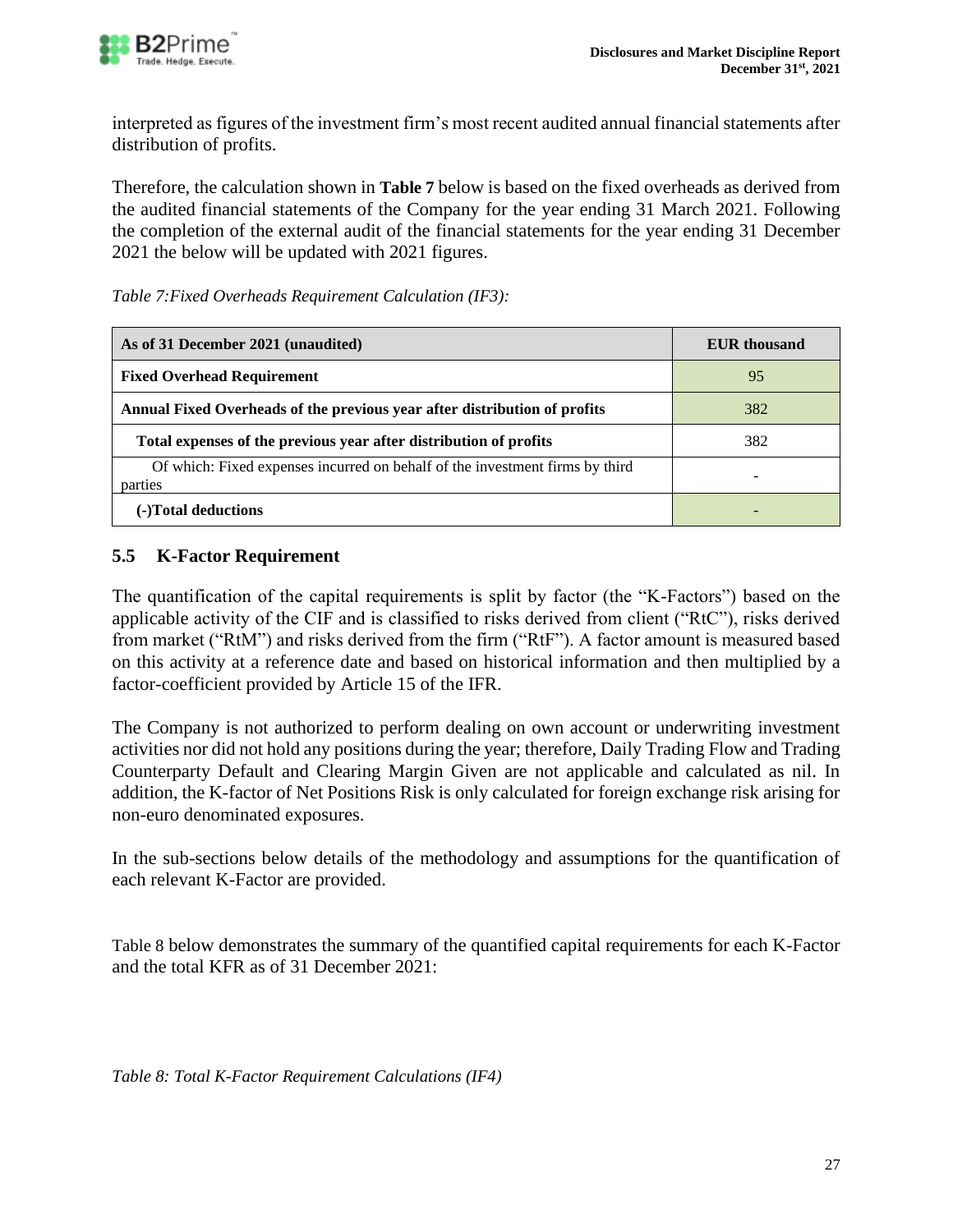

interpreted as figures of the investment firm's most recent audited annual financial statements after distribution of profits.

Therefore, the calculation shown in **[Table 7](#page-26-1)** below is based on the fixed overheads as derived from the audited financial statements of the Company for the year ending 31 March 2021. Following the completion of the external audit of the financial statements for the year ending 31 December 2021 the below will be updated with 2021 figures.

<span id="page-26-1"></span>

| Table 7: Fixed Overheads Requirement Calculation (IF3): |  |
|---------------------------------------------------------|--|
|---------------------------------------------------------|--|

| As of 31 December 2021 (unaudited)                                                      | <b>EUR</b> thousand |
|-----------------------------------------------------------------------------------------|---------------------|
| <b>Fixed Overhead Requirement</b>                                                       | 95                  |
| Annual Fixed Overheads of the previous year after distribution of profits               | 382                 |
| Total expenses of the previous year after distribution of profits                       | 382                 |
| Of which: Fixed expenses incurred on behalf of the investment firms by third<br>parties |                     |
| (-)Total deductions                                                                     |                     |

# <span id="page-26-0"></span>**5.5 K-Factor Requirement**

The quantification of the capital requirements is split by factor (the "K-Factors") based on the applicable activity of the CIF and is classified to risks derived from client ("RtC"), risks derived from market ("RtM") and risks derived from the firm ("RtF"). A factor amount is measured based on this activity at a reference date and based on historical information and then multiplied by a factor-coefficient provided by Article 15 of the IFR.

The Company is not authorized to perform dealing on own account or underwriting investment activities nor did not hold any positions during the year; therefore, Daily Trading Flow and Trading Counterparty Default and Clearing Margin Given are not applicable and calculated as nil. In addition, the K-factor of Net Positions Risk is only calculated for foreign exchange risk arising for non-euro denominated exposures.

In the sub-sections below details of the methodology and assumptions for the quantification of each relevant K-Factor are provided.

<span id="page-26-2"></span>[Table 8](#page-26-2) below demonstrates the summary of the quantified capital requirements for each K-Factor and the total KFR as of 31 December 2021:

*Table 8: Total K-Factor Requirement Calculations (IF4)*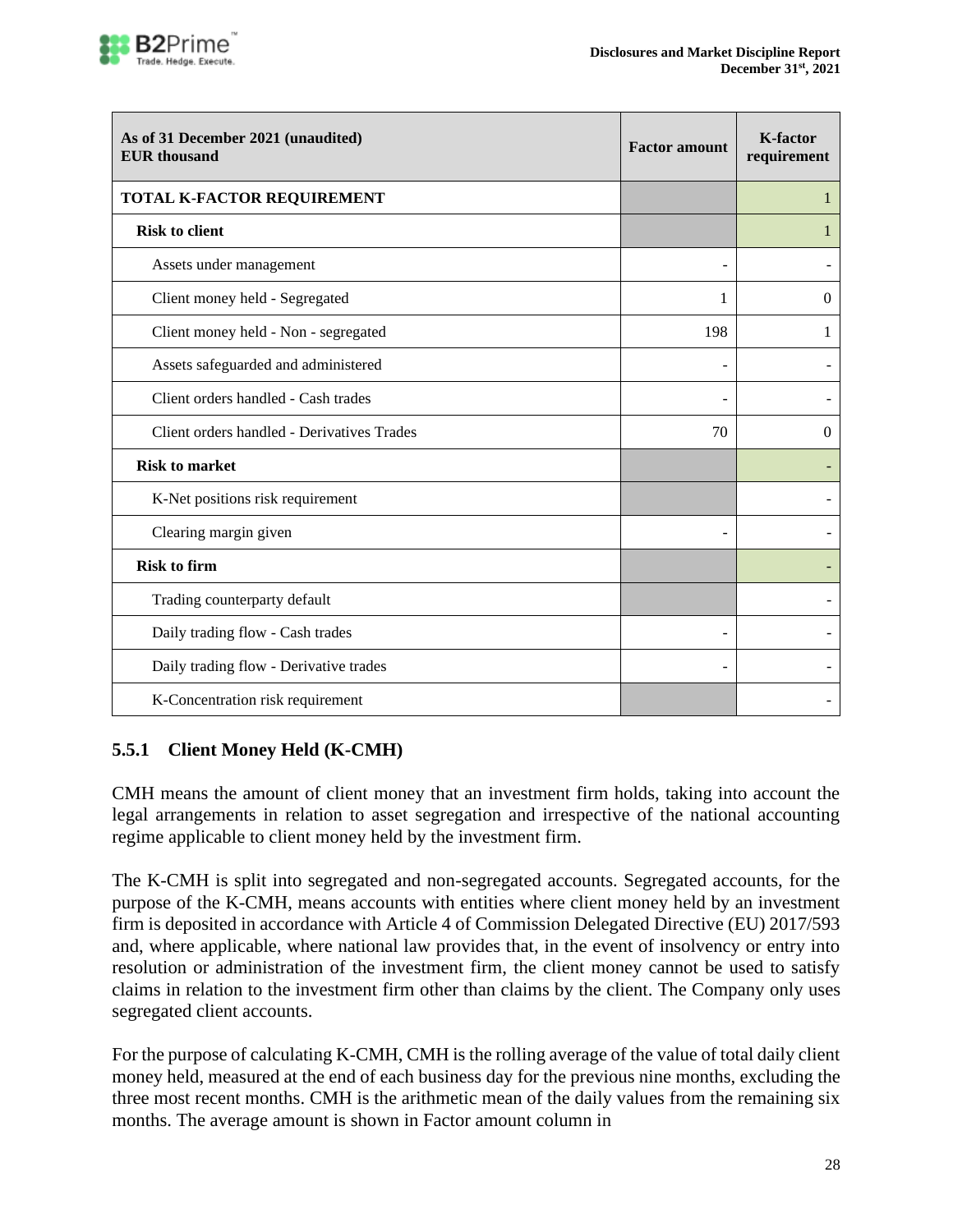

| As of 31 December 2021 (unaudited)<br><b>EUR</b> thousand | <b>Factor amount</b> | <b>K-factor</b><br>requirement |
|-----------------------------------------------------------|----------------------|--------------------------------|
| TOTAL K-FACTOR REQUIREMENT                                |                      | 1                              |
| <b>Risk to client</b>                                     |                      | 1                              |
| Assets under management                                   |                      |                                |
| Client money held - Segregated                            | 1                    | $\Omega$                       |
| Client money held - Non - segregated                      | 198                  | 1                              |
| Assets safeguarded and administered                       |                      |                                |
| Client orders handled - Cash trades                       |                      |                                |
| Client orders handled - Derivatives Trades                | 70                   | $\theta$                       |
| <b>Risk to market</b>                                     |                      |                                |
| K-Net positions risk requirement                          |                      |                                |
| Clearing margin given                                     |                      |                                |
| <b>Risk to firm</b>                                       |                      |                                |
| Trading counterparty default                              |                      |                                |
| Daily trading flow - Cash trades                          |                      |                                |
| Daily trading flow - Derivative trades                    |                      |                                |
| K-Concentration risk requirement                          |                      |                                |

# <span id="page-27-0"></span>**5.5.1 Client Money Held (K-CMH)**

CMH means the amount of client money that an investment firm holds, taking into account the legal arrangements in relation to asset segregation and irrespective of the national accounting regime applicable to client money held by the investment firm.

The K-CMH is split into segregated and non-segregated accounts. Segregated accounts, for the purpose of the K-CMH, means accounts with entities where client money held by an investment firm is deposited in accordance with Article 4 of Commission Delegated Directive (EU) 2017/593 and, where applicable, where national law provides that, in the event of insolvency or entry into resolution or administration of the investment firm, the client money cannot be used to satisfy claims in relation to the investment firm other than claims by the client. The Company only uses segregated client accounts.

For the purpose of calculating K‐CMH, CMH is the rolling average of the value of total daily client money held, measured at the end of each business day for the previous nine months, excluding the three most recent months. CMH is the arithmetic mean of the daily [values from the remaining six](#page-26-2)  months. [The average amount is shown in Factor amount column in](#page-26-2)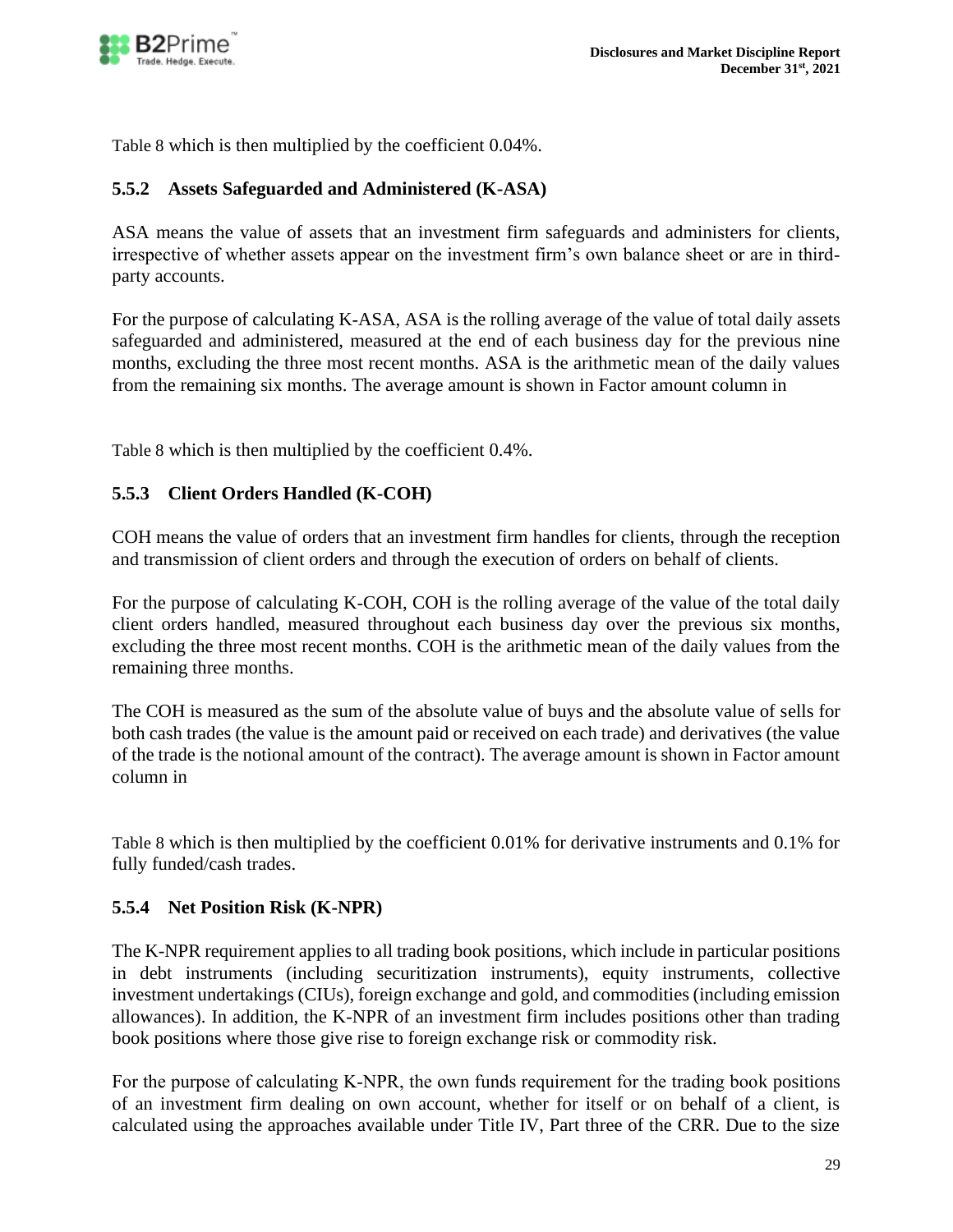

[Table 8](#page-26-2) which is then multiplied by the coefficient 0.04%.

### <span id="page-28-0"></span>**5.5.2 Assets Safeguarded and Administered (K-ASA)**

ASA means the value of assets that an investment firm safeguards and administers for clients, irrespective of whether assets appear on the investment firm's own balance sheet or are in third‐ party accounts.

For the purpose of calculating K‐ASA, ASA is the rolling average of the value of total daily assets safeguarded and administered, measured at the end of each business day for the previous nine months, excluding the three most recent months. ASA is the arithmetic mean of the daily values from the remaining six months. The average amount is shown in Factor amount column in

[Table 8](#page-26-2) which is then multiplied by the coefficient 0.4%.

### <span id="page-28-1"></span>**5.5.3 Client Orders Handled (K-COH)**

COH means the value of orders that an investment firm handles for clients, through the reception and transmission of client orders and through the execution of orders on behalf of clients.

For the purpose of calculating K‐COH, COH is the rolling average of the value of the total daily client orders handled, measured throughout each business day over the previous six months, excluding the three most recent months. COH is the arithmetic mean of the daily values from the remaining three months.

The COH is measured as the sum of the absolute value of buys and the absolute value of sells for both cash trades (the value is the amount paid or received on each trade) and derivatives (the value of the trade is the notional amount of the contract). The average amount is shown in Factor amount column in

[Table 8](#page-26-2) which is then multiplied by the coefficient 0.01% for derivative instruments and 0.1% for fully funded/cash trades.

### <span id="page-28-2"></span>**5.5.4 Net Position Risk (K-NPR)**

The K-NPR requirement applies to all trading book positions, which include in particular positions in debt instruments (including securitization instruments), equity instruments, collective investment undertakings (CIUs), foreign exchange and gold, and commodities (including emission allowances). In addition, the K-NPR of an investment firm includes positions other than trading book positions where those give rise to foreign exchange risk or commodity risk.

For the purpose of calculating K–NPR, the own funds requirement for the trading book positions of an investment firm dealing on own account, whether for itself or on behalf of a client, is calculated using the approaches available under Title IV, Part three of the CRR. Due to the size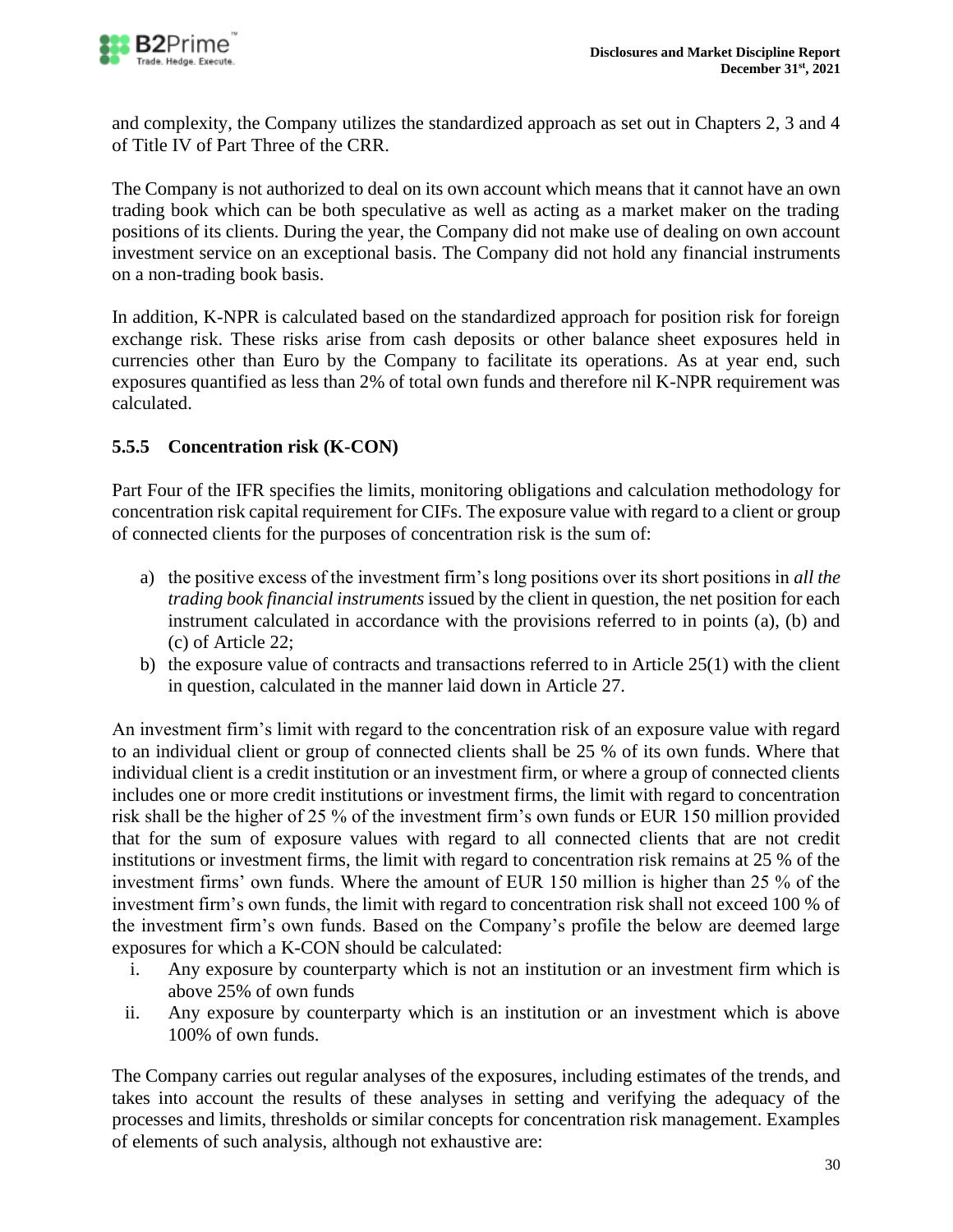and complexity, the Company utilizes the standardized approach as set out in Chapters 2, 3 and 4 of Title IV of Part Three of the CRR.

The Company is not authorized to deal on its own account which means that it cannot have an own trading book which can be both speculative as well as acting as a market maker on the trading positions of its clients. During the year, the Company did not make use of dealing on own account investment service on an exceptional basis. The Company did not hold any financial instruments on a non-trading book basis.

In addition, K-NPR is calculated based on the standardized approach for position risk for foreign exchange risk. These risks arise from cash deposits or other balance sheet exposures held in currencies other than Euro by the Company to facilitate its operations. As at year end, such exposures quantified as less than 2% of total own funds and therefore nil K-NPR requirement was calculated.

# <span id="page-29-0"></span>**5.5.5 Concentration risk (K-CON)**

Part Four of the IFR specifies the limits, monitoring obligations and calculation methodology for concentration risk capital requirement for CIFs. The exposure value with regard to a client or group of connected clients for the purposes of concentration risk is the sum of:

- a) the positive excess of the investment firm's long positions over its short positions in *all the trading book financial instruments* issued by the client in question, the net position for each instrument calculated in accordance with the provisions referred to in points (a), (b) and (c) of Article 22;
- b) the exposure value of contracts and transactions referred to in Article 25(1) with the client in question, calculated in the manner laid down in Article 27.

An investment firm's limit with regard to the concentration risk of an exposure value with regard to an individual client or group of connected clients shall be 25 % of its own funds. Where that individual client is a credit institution or an investment firm, or where a group of connected clients includes one or more credit institutions or investment firms, the limit with regard to concentration risk shall be the higher of 25 % of the investment firm's own funds or EUR 150 million provided that for the sum of exposure values with regard to all connected clients that are not credit institutions or investment firms, the limit with regard to concentration risk remains at 25 % of the investment firms' own funds. Where the amount of EUR 150 million is higher than 25 % of the investment firm's own funds, the limit with regard to concentration risk shall not exceed 100 % of the investment firm's own funds. Based on the Company's profile the below are deemed large exposures for which a K-CON should be calculated:

- i. Any exposure by counterparty which is not an institution or an investment firm which is above 25% of own funds
- ii. Any exposure by counterparty which is an institution or an investment which is above 100% of own funds.

The Company carries out regular analyses of the exposures, including estimates of the trends, and takes into account the results of these analyses in setting and verifying the adequacy of the processes and limits, thresholds or similar concepts for concentration risk management. Examples of elements of such analysis, although not exhaustive are: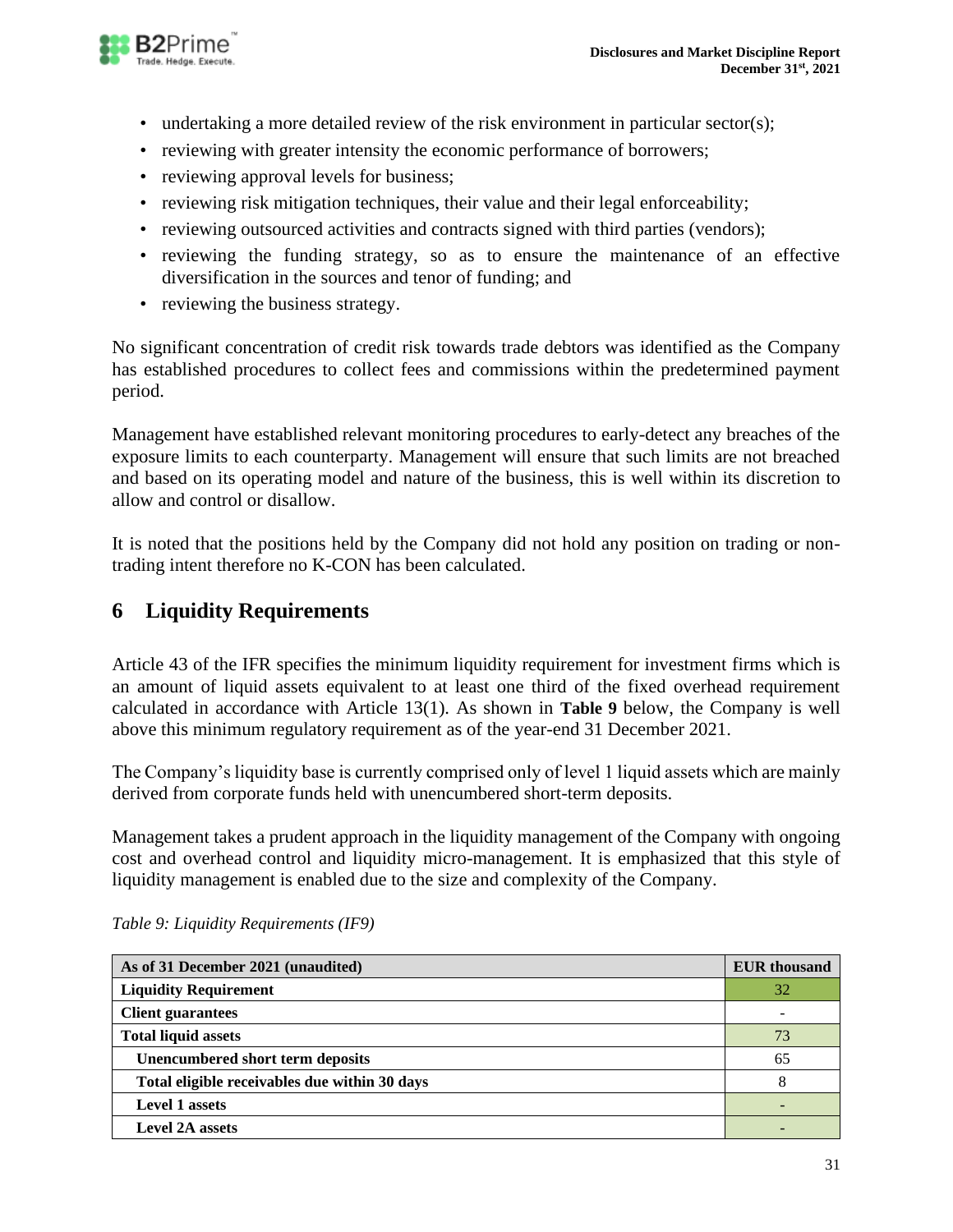

- undertaking a more detailed review of the risk environment in particular sector(s);
- reviewing with greater intensity the economic performance of borrowers;
- reviewing approval levels for business;
- reviewing risk mitigation techniques, their value and their legal enforceability;
- reviewing outsourced activities and contracts signed with third parties (vendors);
- reviewing the funding strategy, so as to ensure the maintenance of an effective diversification in the sources and tenor of funding; and
- reviewing the business strategy.

No significant concentration of credit risk towards trade debtors was identified as the Company has established procedures to collect fees and commissions within the predetermined payment period.

Management have established relevant monitoring procedures to early-detect any breaches of the exposure limits to each counterparty. Management will ensure that such limits are not breached and based on its operating model and nature of the business, this is well within its discretion to allow and control or disallow.

It is noted that the positions held by the Company did not hold any position on trading or nontrading intent therefore no K-CON has been calculated.

# <span id="page-30-0"></span>**6 Liquidity Requirements**

Article 43 of the IFR specifies the minimum liquidity requirement for investment firms which is an amount of liquid assets equivalent to at least one third of the fixed overhead requirement calculated in accordance with Article 13(1). As shown in **[Table 9](#page-30-2)** below, the Company is well above this minimum regulatory requirement as of the year-end 31 December 2021.

The Company's liquidity base is currently comprised only of level 1 liquid assets which are mainly derived from corporate funds held with unencumbered short-term deposits.

Management takes a prudent approach in the liquidity management of the Company with ongoing cost and overhead control and liquidity micro-management. It is emphasized that this style of liquidity management is enabled due to the size and complexity of the Company.

<span id="page-30-1"></span>

| As of 31 December 2021 (unaudited)            | <b>EUR</b> thousand |
|-----------------------------------------------|---------------------|
| <b>Liquidity Requirement</b>                  | 32                  |
| <b>Client guarantees</b>                      |                     |
| <b>Total liquid assets</b>                    | 73                  |
| Unencumbered short term deposits              | 65                  |
| Total eligible receivables due within 30 days | 8                   |
| <b>Level 1 assets</b>                         |                     |
| <b>Level 2A assets</b>                        |                     |

<span id="page-30-2"></span>*Table 9: Liquidity Requirements (IF9)*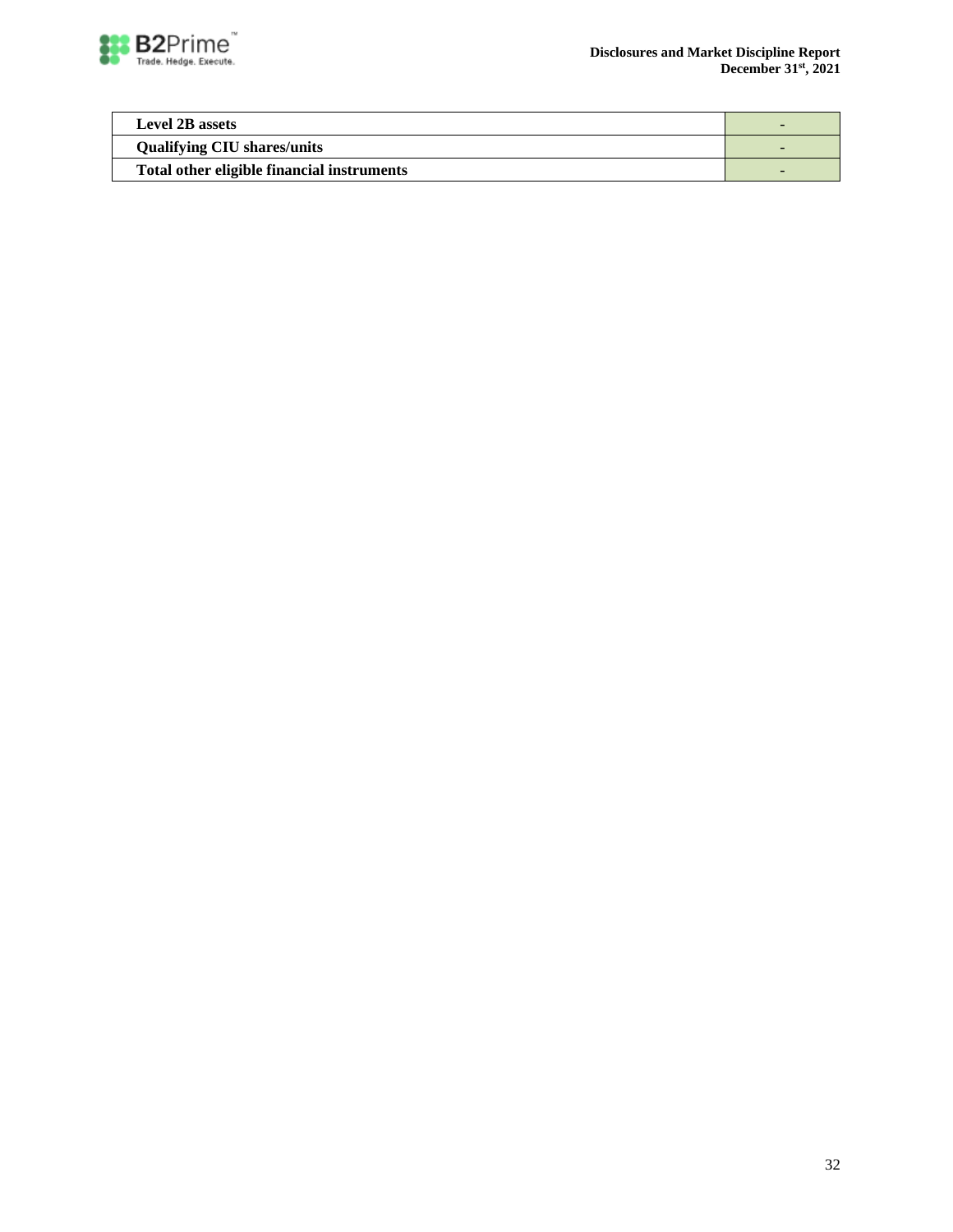

| <b>Level 2B assets</b>                     |  |
|--------------------------------------------|--|
| <b>Qualifying CIU shares/units</b>         |  |
| Total other eligible financial instruments |  |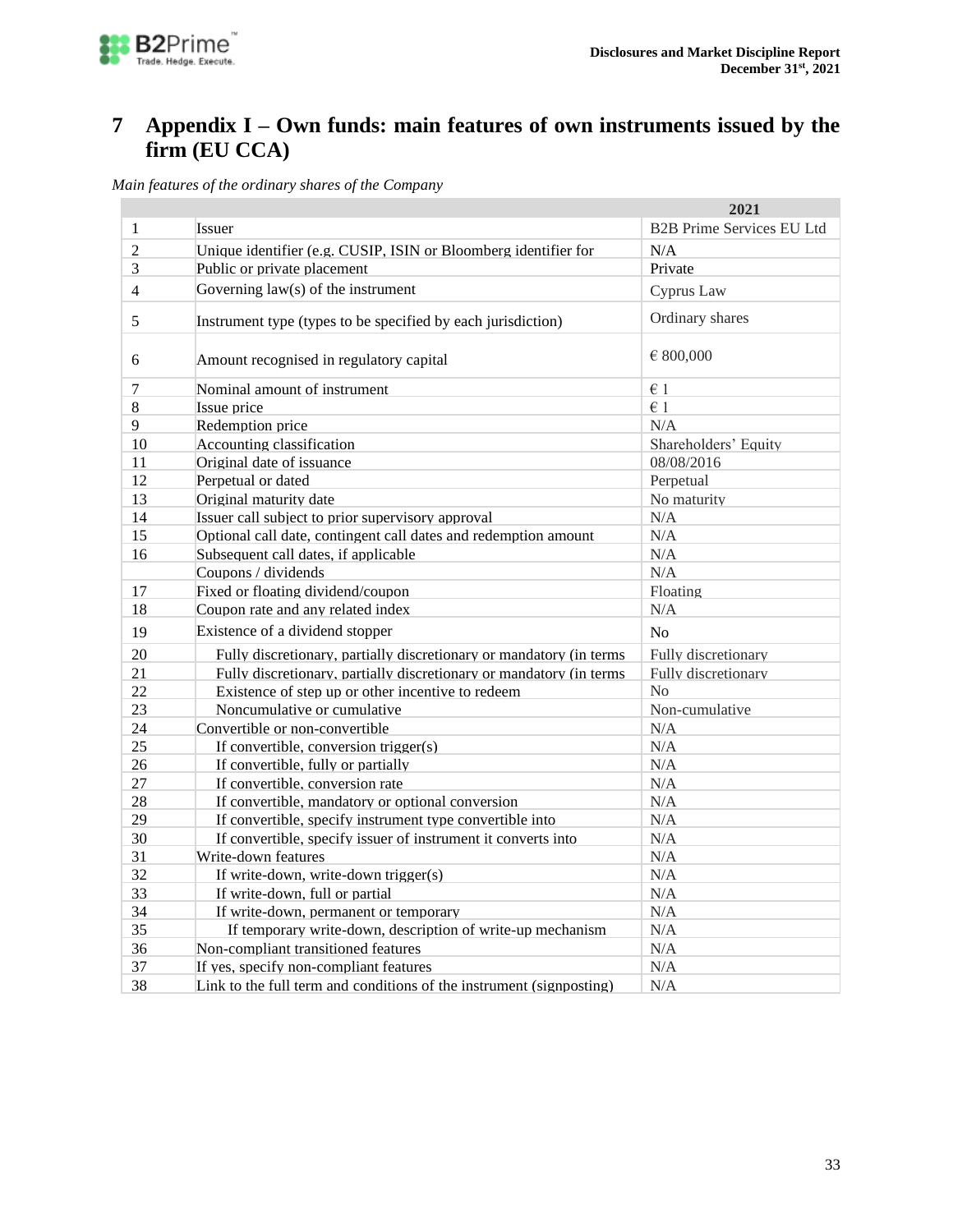

# <span id="page-32-0"></span>**7 Appendix I – Own funds: main features of own instruments issued by the firm (EU CCA)**

*Main features of the ordinary shares of the Company*

|    |                                                                      | 2021                             |
|----|----------------------------------------------------------------------|----------------------------------|
| 1  | Issuer                                                               | <b>B2B Prime Services EU Ltd</b> |
| 2  | Unique identifier (e.g. CUSIP, ISIN or Bloomberg identifier for      | N/A                              |
| 3  | Public or private placement                                          | Private                          |
| 4  | Governing $law(s)$ of the instrument                                 | Cyprus Law                       |
| 5  | Instrument type (types to be specified by each jurisdiction)         | Ordinary shares                  |
| 6  | Amount recognised in regulatory capital                              | € 800,000                        |
| 7  | Nominal amount of instrument                                         | $\epsilon$ 1                     |
| 8  | Issue price                                                          | $\in$ 1                          |
| 9  | Redemption price                                                     | N/A                              |
| 10 | Accounting classification                                            | Shareholders' Equity             |
| 11 | Original date of issuance                                            | 08/08/2016                       |
| 12 | Perpetual or dated                                                   | Perpetual                        |
| 13 | Original maturity date                                               | No maturity                      |
| 14 | Issuer call subject to prior supervisory approval                    | N/A                              |
| 15 | Optional call date, contingent call dates and redemption amount      | N/A                              |
| 16 | Subsequent call dates, if applicable                                 | N/A                              |
|    | Coupons / dividends                                                  | N/A                              |
| 17 | Fixed or floating dividend/coupon                                    | Floating                         |
| 18 | Coupon rate and any related index                                    | N/A                              |
| 19 | Existence of a dividend stopper                                      | No                               |
| 20 | Fully discretionary, partially discretionary or mandatory (in terms  | Fully discretionary              |
| 21 | Fully discretionary, partially discretionary or mandatory (in terms  | Fully discretionary              |
| 22 | Existence of step up or other incentive to redeem                    | No                               |
| 23 | Noncumulative or cumulative                                          | Non-cumulative                   |
| 24 | Convertible or non-convertible                                       | N/A                              |
| 25 | If convertible, conversion trigger(s)                                | N/A                              |
| 26 | If convertible, fully or partially                                   | N/A                              |
| 27 | If convertible, conversion rate                                      | N/A                              |
| 28 | If convertible, mandatory or optional conversion                     | N/A                              |
| 29 | If convertible, specify instrument type convertible into             | N/A                              |
| 30 | If convertible, specify issuer of instrument it converts into        | N/A                              |
| 31 | Write-down features                                                  | N/A                              |
| 32 | If write-down, write-down trigger(s)                                 | N/A                              |
| 33 | If write-down, full or partial                                       | N/A                              |
| 34 | If write-down, permanent or temporary                                | N/A                              |
| 35 | If temporary write-down, description of write-up mechanism           | N/A                              |
| 36 | Non-compliant transitioned features                                  | N/A                              |
| 37 | If yes, specify non-compliant features                               | N/A                              |
| 38 | Link to the full term and conditions of the instrument (signposting) | N/A                              |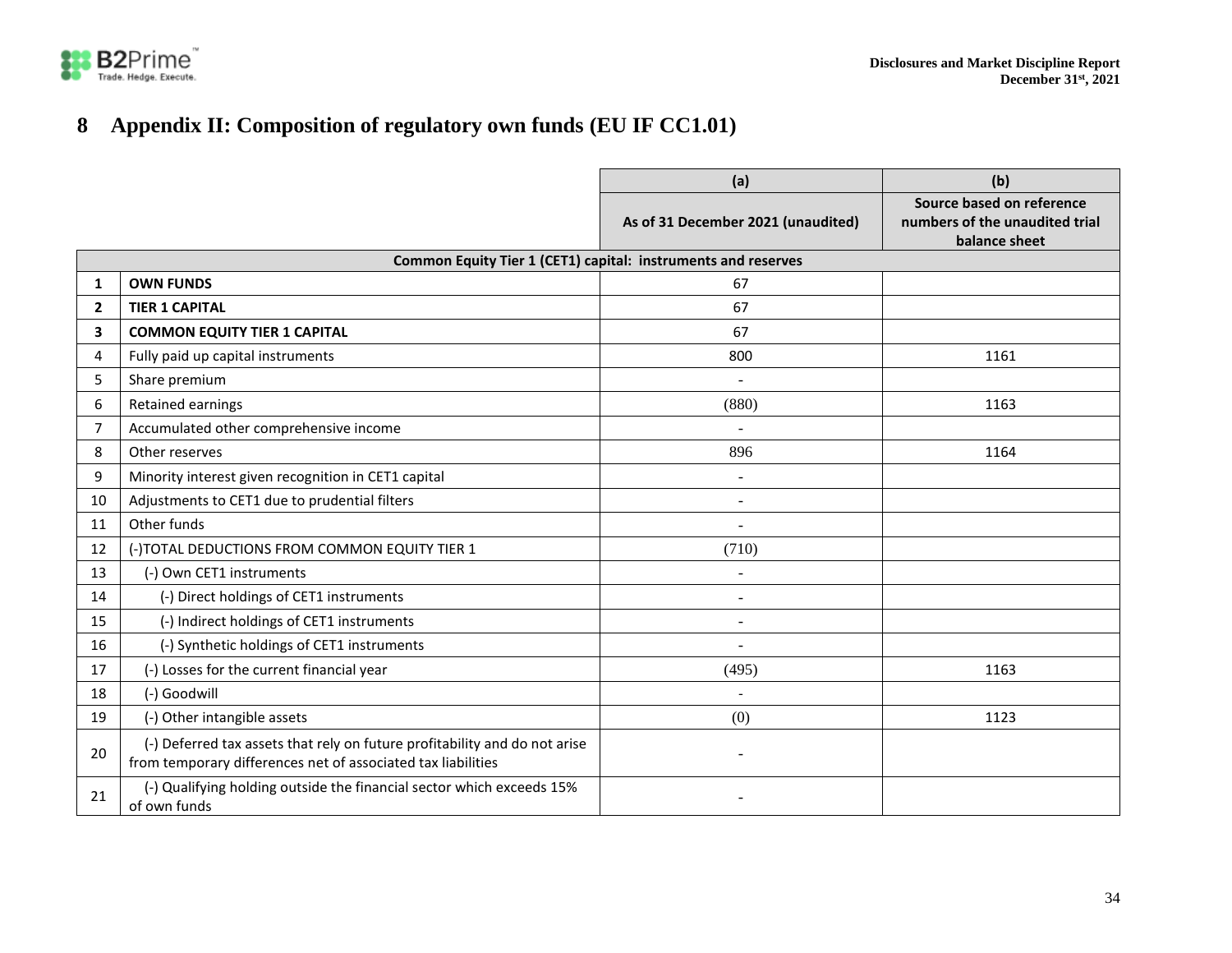

# **Appendix II: Composition of regulatory own funds (EU IF CC1.01)**

<span id="page-33-0"></span>

|                |                                                                                                                                            | (a)                                | (b)                                                                          |
|----------------|--------------------------------------------------------------------------------------------------------------------------------------------|------------------------------------|------------------------------------------------------------------------------|
|                |                                                                                                                                            | As of 31 December 2021 (unaudited) | Source based on reference<br>numbers of the unaudited trial<br>balance sheet |
|                | Common Equity Tier 1 (CET1) capital: instruments and reserves                                                                              |                                    |                                                                              |
| $\mathbf{1}$   | <b>OWN FUNDS</b>                                                                                                                           | 67                                 |                                                                              |
| $\mathbf{2}$   | <b>TIER 1 CAPITAL</b>                                                                                                                      | 67                                 |                                                                              |
| 3              | <b>COMMON EQUITY TIER 1 CAPITAL</b>                                                                                                        | 67                                 |                                                                              |
| 4              | Fully paid up capital instruments                                                                                                          | 800                                | 1161                                                                         |
| 5              | Share premium                                                                                                                              | $\blacksquare$                     |                                                                              |
| 6              | Retained earnings                                                                                                                          | (880)                              | 1163                                                                         |
| $\overline{7}$ | Accumulated other comprehensive income                                                                                                     |                                    |                                                                              |
| 8              | Other reserves                                                                                                                             | 896                                | 1164                                                                         |
| 9              | Minority interest given recognition in CET1 capital                                                                                        |                                    |                                                                              |
| 10             | Adjustments to CET1 due to prudential filters                                                                                              | $\sim$                             |                                                                              |
| 11             | Other funds                                                                                                                                |                                    |                                                                              |
| 12             | (-)TOTAL DEDUCTIONS FROM COMMON EQUITY TIER 1                                                                                              | (710)                              |                                                                              |
| 13             | (-) Own CET1 instruments                                                                                                                   | $\sim$                             |                                                                              |
| 14             | (-) Direct holdings of CET1 instruments                                                                                                    |                                    |                                                                              |
| 15             | (-) Indirect holdings of CET1 instruments                                                                                                  | $\overline{\phantom{a}}$           |                                                                              |
| 16             | (-) Synthetic holdings of CET1 instruments                                                                                                 |                                    |                                                                              |
| 17             | (-) Losses for the current financial year                                                                                                  | (495)                              | 1163                                                                         |
| 18             | (-) Goodwill                                                                                                                               | $\blacksquare$                     |                                                                              |
| 19             | (-) Other intangible assets                                                                                                                | (0)                                | 1123                                                                         |
| 20             | (-) Deferred tax assets that rely on future profitability and do not arise<br>from temporary differences net of associated tax liabilities |                                    |                                                                              |
| 21             | (-) Qualifying holding outside the financial sector which exceeds 15%<br>of own funds                                                      |                                    |                                                                              |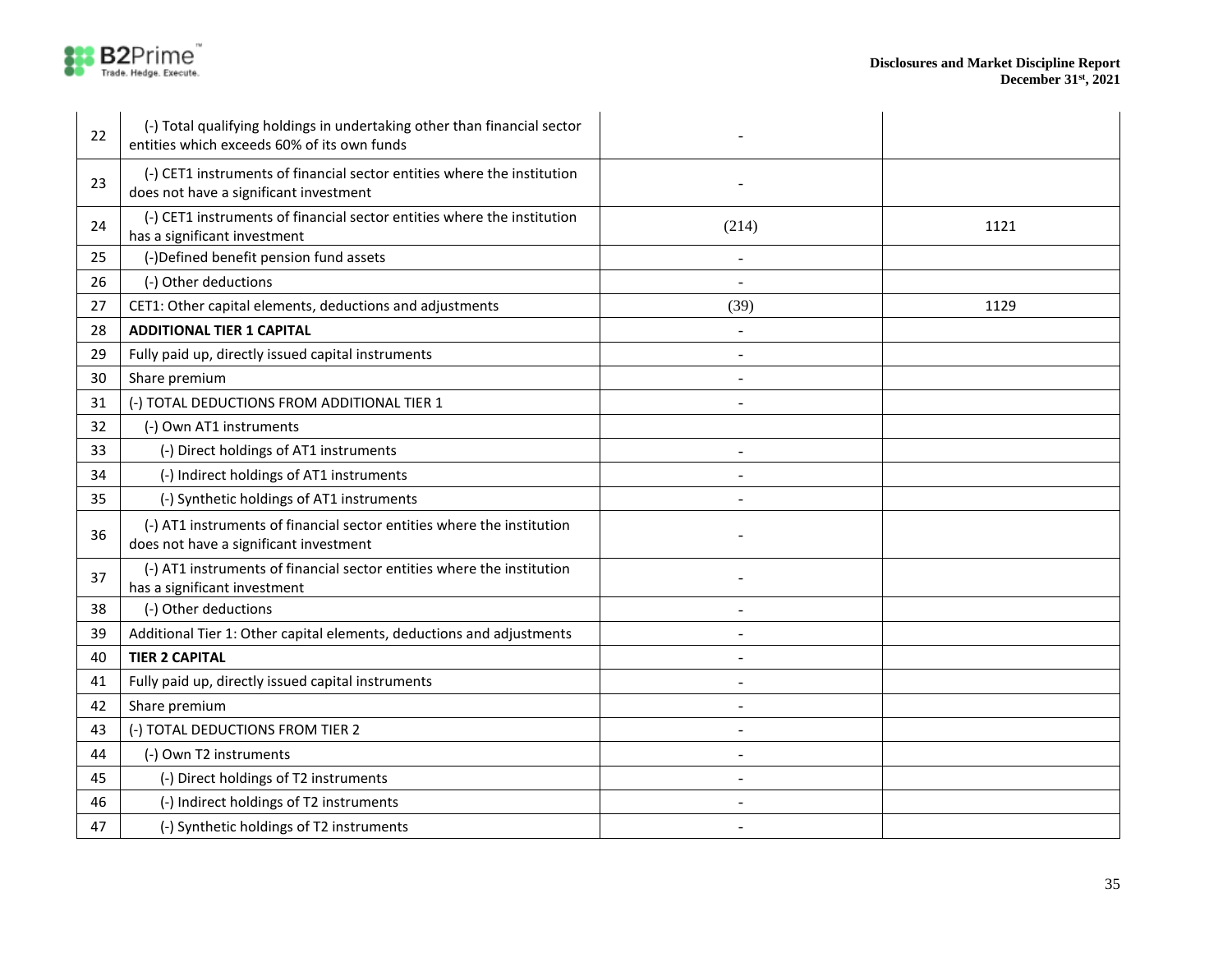

| 22 | (-) Total qualifying holdings in undertaking other than financial sector<br>entities which exceeds 60% of its own funds |       |      |
|----|-------------------------------------------------------------------------------------------------------------------------|-------|------|
| 23 | (-) CET1 instruments of financial sector entities where the institution<br>does not have a significant investment       |       |      |
| 24 | (-) CET1 instruments of financial sector entities where the institution<br>has a significant investment                 | (214) | 1121 |
| 25 | (-)Defined benefit pension fund assets                                                                                  |       |      |
| 26 | (-) Other deductions                                                                                                    |       |      |
| 27 | CET1: Other capital elements, deductions and adjustments                                                                | (39)  | 1129 |
| 28 | <b>ADDITIONAL TIER 1 CAPITAL</b>                                                                                        |       |      |
| 29 | Fully paid up, directly issued capital instruments                                                                      |       |      |
| 30 | Share premium                                                                                                           |       |      |
| 31 | (-) TOTAL DEDUCTIONS FROM ADDITIONAL TIER 1                                                                             |       |      |
| 32 | (-) Own AT1 instruments                                                                                                 |       |      |
| 33 | (-) Direct holdings of AT1 instruments                                                                                  |       |      |
| 34 | (-) Indirect holdings of AT1 instruments                                                                                |       |      |
| 35 | (-) Synthetic holdings of AT1 instruments                                                                               |       |      |
| 36 | (-) AT1 instruments of financial sector entities where the institution<br>does not have a significant investment        |       |      |
| 37 | (-) AT1 instruments of financial sector entities where the institution<br>has a significant investment                  |       |      |
| 38 | (-) Other deductions                                                                                                    |       |      |
| 39 | Additional Tier 1: Other capital elements, deductions and adjustments                                                   |       |      |
| 40 | <b>TIER 2 CAPITAL</b>                                                                                                   |       |      |
| 41 | Fully paid up, directly issued capital instruments                                                                      |       |      |
| 42 | Share premium                                                                                                           |       |      |
| 43 | (-) TOTAL DEDUCTIONS FROM TIER 2                                                                                        |       |      |
| 44 | (-) Own T2 instruments                                                                                                  |       |      |
| 45 | (-) Direct holdings of T2 instruments                                                                                   |       |      |
| 46 | (-) Indirect holdings of T2 instruments                                                                                 |       |      |
| 47 | (-) Synthetic holdings of T2 instruments                                                                                |       |      |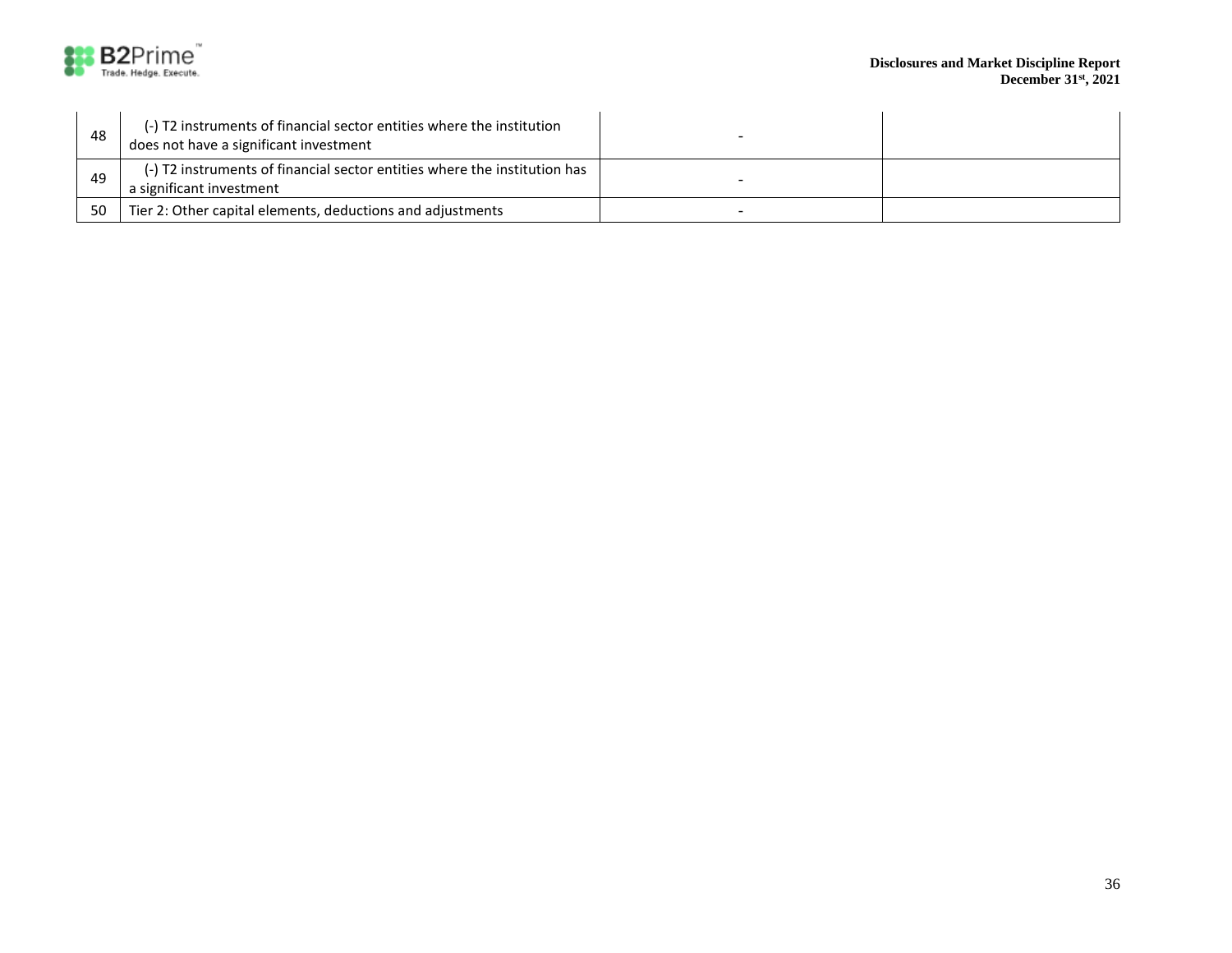

| 48 | (-) T2 instruments of financial sector entities where the institution<br>does not have a significant investment |  |
|----|-----------------------------------------------------------------------------------------------------------------|--|
| 49 | (-) T2 instruments of financial sector entities where the institution has<br>a significant investment           |  |
|    |                                                                                                                 |  |
| 50 | Tier 2: Other capital elements, deductions and adjustments                                                      |  |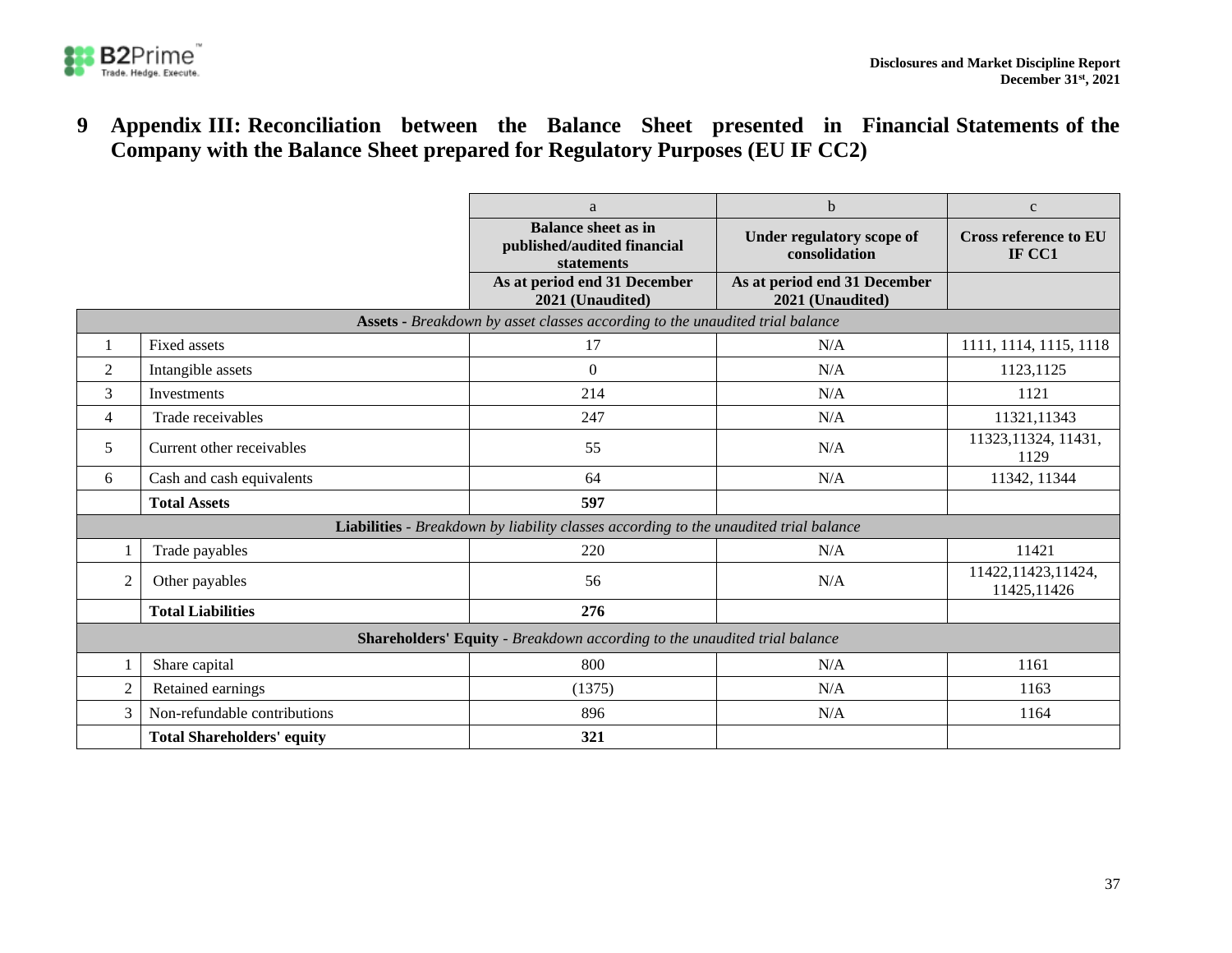

**9 Appendix III: Reconciliation between the Balance Sheet presented in Financial Statements of the Company with the Balance Sheet prepared for Regulatory Purposes (EU IF CC2)**

<span id="page-36-0"></span>

|                                                                                       |                                   | a                                                                       | $\mathbf b$                                      | $\mathbf c$                            |  |  |
|---------------------------------------------------------------------------------------|-----------------------------------|-------------------------------------------------------------------------|--------------------------------------------------|----------------------------------------|--|--|
|                                                                                       |                                   | <b>Balance sheet as in</b><br>published/audited financial<br>statements | Under regulatory scope of<br>consolidation       | <b>Cross reference to EU</b><br>IF CC1 |  |  |
|                                                                                       |                                   | As at period end 31 December<br>2021 (Unaudited)                        | As at period end 31 December<br>2021 (Unaudited) |                                        |  |  |
| Assets - Breakdown by asset classes according to the unaudited trial balance          |                                   |                                                                         |                                                  |                                        |  |  |
|                                                                                       | Fixed assets                      | 17                                                                      | N/A                                              | 1111, 1114, 1115, 1118                 |  |  |
| $\overline{c}$                                                                        | Intangible assets                 | $\boldsymbol{0}$                                                        | N/A                                              | 1123,1125                              |  |  |
| 3                                                                                     | Investments                       | 214                                                                     | N/A                                              | 1121                                   |  |  |
| 4                                                                                     | Trade receivables                 | 247                                                                     | N/A                                              | 11321,11343                            |  |  |
| 5                                                                                     | Current other receivables         | 55                                                                      | N/A                                              | 11323, 11324, 11431,<br>1129           |  |  |
| 6                                                                                     | Cash and cash equivalents         | 64                                                                      | N/A                                              | 11342, 11344                           |  |  |
|                                                                                       | <b>Total Assets</b>               | 597                                                                     |                                                  |                                        |  |  |
| Liabilities - Breakdown by liability classes according to the unaudited trial balance |                                   |                                                                         |                                                  |                                        |  |  |
|                                                                                       | Trade payables                    | 220                                                                     | N/A                                              | 11421                                  |  |  |
| $\overline{2}$                                                                        | Other payables                    | 56                                                                      | N/A                                              | 11422, 11423, 11424,<br>11425,11426    |  |  |
|                                                                                       | <b>Total Liabilities</b>          | 276                                                                     |                                                  |                                        |  |  |
| Shareholders' Equity - Breakdown according to the unaudited trial balance             |                                   |                                                                         |                                                  |                                        |  |  |
|                                                                                       | Share capital                     | 800                                                                     | N/A                                              | 1161                                   |  |  |
| $\overline{2}$                                                                        | Retained earnings                 | (1375)                                                                  | N/A                                              | 1163                                   |  |  |
| 3                                                                                     | Non-refundable contributions      | 896                                                                     | N/A                                              | 1164                                   |  |  |
|                                                                                       | <b>Total Shareholders' equity</b> | 321                                                                     |                                                  |                                        |  |  |